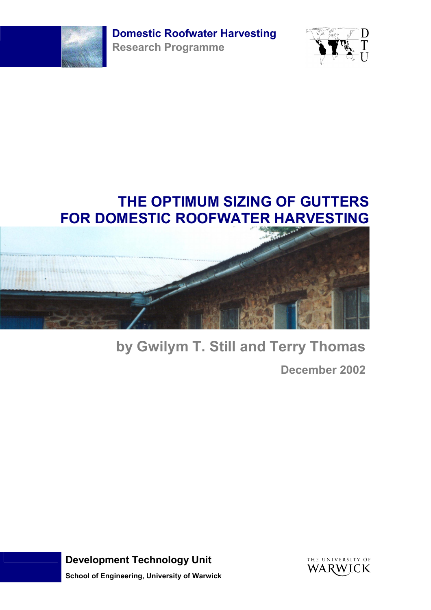**Domestic Roofwater Harvesting** 



**Research Programme**



# **THE OPTIMUM SIZING OF GUTTERS FOR DOMESTIC ROOFWATER HARVESTING**



# **by Gwilym T. Still and Terry Thomas**

**December 2002**

**Development Technology Unit School of Engineering, University of Warwick**

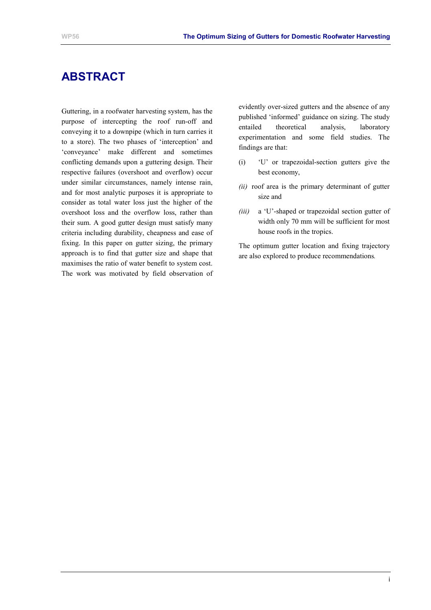# **ABSTRACT**

Guttering, in a roofwater harvesting system, has the purpose of intercepting the roof run-off and conveying it to a downpipe (which in turn carries it to a store). The two phases of 'interception' and 'conveyance' make different and sometimes conflicting demands upon a guttering design. Their respective failures (overshoot and overflow) occur under similar circumstances, namely intense rain, and for most analytic purposes it is appropriate to consider as total water loss just the higher of the overshoot loss and the overflow loss, rather than their sum. A good gutter design must satisfy many criteria including durability, cheapness and ease of fixing. In this paper on gutter sizing, the primary approach is to find that gutter size and shape that maximises the ratio of water benefit to system cost. The work was motivated by field observation of evidently over-sized gutters and the absence of any published 'informed' guidance on sizing. The study entailed theoretical analysis, laboratory experimentation and some field studies. The findings are that:

- (i) 'U' or trapezoidal-section gutters give the best economy,
- *(ii)* roof area is the primary determinant of gutter size and
- *(iii)* a 'U'-shaped or trapezoidal section gutter of width only 70 mm will be sufficient for most house roofs in the tropics.

The optimum gutter location and fixing trajectory are also explored to produce recommendations*.*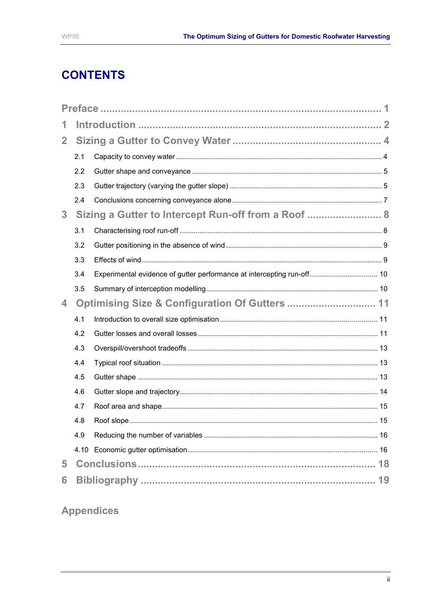# **CONTENTS**

| 1              |     |                                                                        |  |
|----------------|-----|------------------------------------------------------------------------|--|
| $\overline{2}$ |     |                                                                        |  |
|                | 2.1 |                                                                        |  |
|                | 2.2 |                                                                        |  |
|                | 2.3 |                                                                        |  |
|                | 2.4 |                                                                        |  |
| 3 <sup>1</sup> |     | Sizing a Gutter to Intercept Run-off from a Roof  8                    |  |
|                | 3.1 |                                                                        |  |
|                | 3.2 |                                                                        |  |
|                | 3.3 |                                                                        |  |
|                | 3.4 | Experimental evidence of gutter performance at intercepting run-off 10 |  |
|                | 3.5 |                                                                        |  |
| 4              |     |                                                                        |  |
|                | 4.1 |                                                                        |  |
|                | 4.2 |                                                                        |  |
|                | 4.3 |                                                                        |  |
|                | 4.4 |                                                                        |  |
|                | 4.5 |                                                                        |  |
|                | 4.6 |                                                                        |  |
|                | 4.7 |                                                                        |  |
|                | 4.8 |                                                                        |  |
|                | 4.9 |                                                                        |  |
|                |     |                                                                        |  |
| 5              |     |                                                                        |  |
| 6              |     |                                                                        |  |

# **Appendices**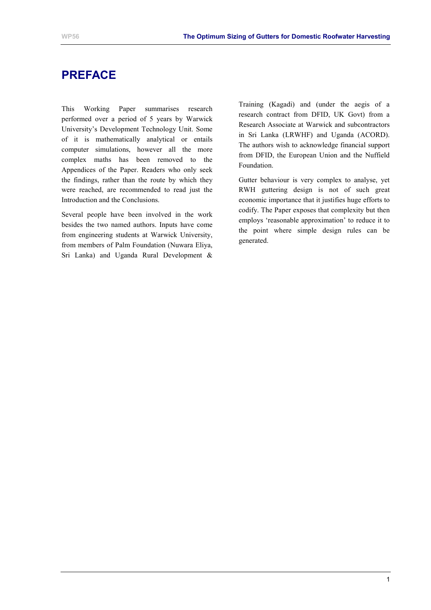# <span id="page-3-0"></span>**PREFACE**

This Working Paper summarises research performed over a period of 5 years by Warwick University's Development Technology Unit. Some of it is mathematically analytical or entails computer simulations, however all the more complex maths has been removed to the Appendices of the Paper. Readers who only seek the findings, rather than the route by which they were reached, are recommended to read just the Introduction and the Conclusions.

Several people have been involved in the work besides the two named authors. Inputs have come from engineering students at Warwick University, from members of Palm Foundation (Nuwara Eliya, Sri Lanka) and Uganda Rural Development &

Training (Kagadi) and (under the aegis of a research contract from DFID, UK Govt) from a Research Associate at Warwick and subcontractors in Sri Lanka (LRWHF) and Uganda (ACORD). The authors wish to acknowledge financial support from DFID, the European Union and the Nuffield Foundation.

Gutter behaviour is very complex to analyse, yet RWH guttering design is not of such great economic importance that it justifies huge efforts to codify. The Paper exposes that complexity but then employs 'reasonable approximation' to reduce it to the point where simple design rules can be generated.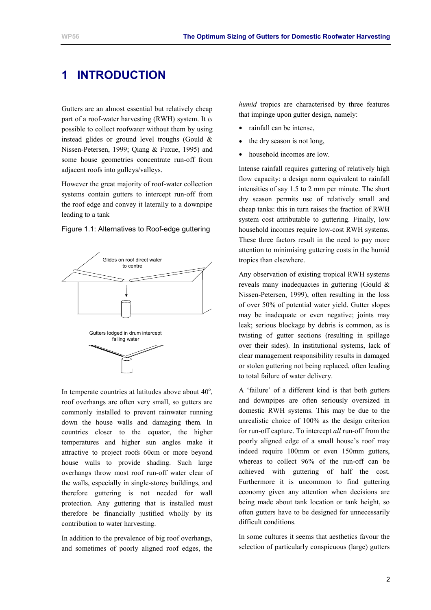# <span id="page-4-0"></span>**1 INTRODUCTION**

Gutters are an almost essential but relatively cheap part of a roof-water harvesting (RWH) system. It *is* possible to collect roofwater without them by using instead glides or ground level troughs (Gould & Nissen-Petersen, 1999; Qiang & Fuxue, 1995) and some house geometries concentrate run-off from adjacent roofs into gulleys/valleys.

However the great majority of roof-water collection systems contain gutters to intercept run-off from the roof edge and convey it laterally to a downpipe leading to a tank



Figure 1.1: Alternatives to Roof-edge guttering

In temperate countries at latitudes above about  $40^\circ$ , roof overhangs are often very small, so gutters are commonly installed to prevent rainwater running down the house walls and damaging them. In countries closer to the equator, the higher temperatures and higher sun angles make it attractive to project roofs 60cm or more beyond house walls to provide shading. Such large overhangs throw most roof run-off water clear of the walls, especially in single-storey buildings, and therefore guttering is not needed for wall protection. Any guttering that is installed must therefore be financially justified wholly by its contribution to water harvesting.

In addition to the prevalence of big roof overhangs, and sometimes of poorly aligned roof edges, the *humid* tropics are characterised by three features that impinge upon gutter design, namely:

- rainfall can be intense,
- the dry season is not long,
- household incomes are low.

Intense rainfall requires guttering of relatively high flow capacity: a design norm equivalent to rainfall intensities of say 1.5 to 2 mm per minute. The short dry season permits use of relatively small and cheap tanks: this in turn raises the fraction of RWH system cost attributable to guttering. Finally, low household incomes require low-cost RWH systems. These three factors result in the need to pay more attention to minimising guttering costs in the humid tropics than elsewhere.

Any observation of existing tropical RWH systems reveals many inadequacies in guttering (Gould & Nissen-Petersen, 1999), often resulting in the loss of over 50% of potential water yield. Gutter slopes may be inadequate or even negative; joints may leak; serious blockage by debris is common, as is twisting of gutter sections (resulting in spillage over their sides). In institutional systems, lack of clear management responsibility results in damaged or stolen guttering not being replaced, often leading to total failure of water delivery.

A 'failure' of a different kind is that both gutters and downpipes are often seriously oversized in domestic RWH systems. This may be due to the unrealistic choice of 100% as the design criterion for run-off capture. To intercept *all* run-off from the poorly aligned edge of a small house's roof may indeed require 100mm or even 150mm gutters, whereas to collect 96% of the run-off can be achieved with guttering of half the cost. Furthermore it is uncommon to find guttering economy given any attention when decisions are being made about tank location or tank height, so often gutters have to be designed for unnecessarily difficult conditions.

In some cultures it seems that aesthetics favour the selection of particularly conspicuous (large) gutters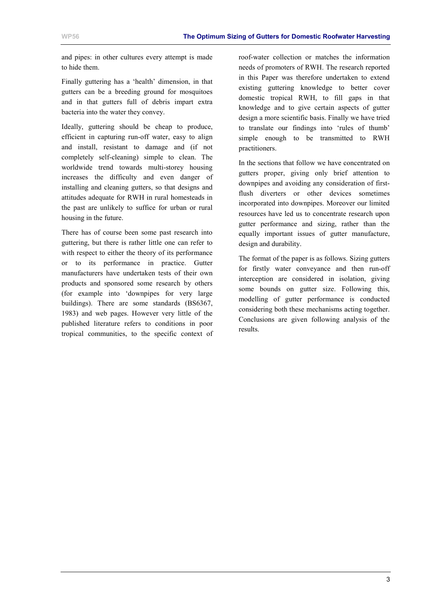and pipes: in other cultures every attempt is made to hide them.

Finally guttering has a 'health' dimension, in that gutters can be a breeding ground for mosquitoes and in that gutters full of debris impart extra bacteria into the water they convey.

Ideally, guttering should be cheap to produce, efficient in capturing run-off water, easy to align and install, resistant to damage and (if not completely self-cleaning) simple to clean. The worldwide trend towards multi-storey housing increases the difficulty and even danger of installing and cleaning gutters, so that designs and attitudes adequate for RWH in rural homesteads in the past are unlikely to suffice for urban or rural housing in the future.

There has of course been some past research into guttering, but there is rather little one can refer to with respect to either the theory of its performance or to its performance in practice. Gutter manufacturers have undertaken tests of their own products and sponsored some research by others (for example into 'downpipes for very large buildings). There are some standards (BS6367, 1983) and web pages. However very little of the published literature refers to conditions in poor tropical communities, to the specific context of roof-water collection or matches the information needs of promoters of RWH. The research reported in this Paper was therefore undertaken to extend existing guttering knowledge to better cover domestic tropical RWH, to fill gaps in that knowledge and to give certain aspects of gutter design a more scientific basis. Finally we have tried to translate our findings into 'rules of thumb' simple enough to be transmitted to RWH practitioners.

In the sections that follow we have concentrated on gutters proper, giving only brief attention to downpipes and avoiding any consideration of firstflush diverters or other devices sometimes incorporated into downpipes. Moreover our limited resources have led us to concentrate research upon gutter performance and sizing, rather than the equally important issues of gutter manufacture, design and durability.

The format of the paper is as follows. Sizing gutters for firstly water conveyance and then run-off interception are considered in isolation, giving some bounds on gutter size. Following this, modelling of gutter performance is conducted considering both these mechanisms acting together. Conclusions are given following analysis of the results.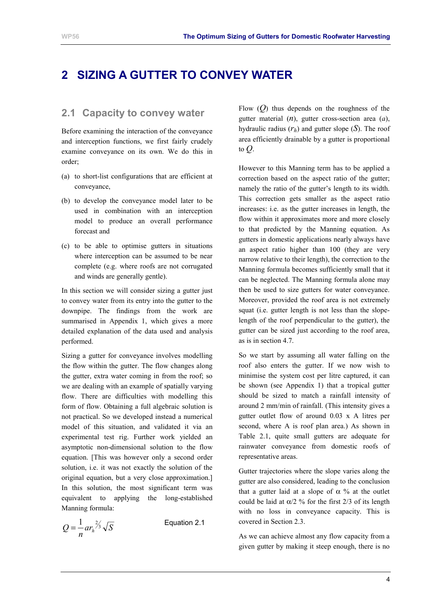# <span id="page-6-0"></span>**2 SIZING A GUTTER TO CONVEY WATER**

### **2.1 Capacity to convey water**

Before examining the interaction of the conveyance and interception functions, we first fairly crudely examine conveyance on its own. We do this in order;

- (a) to short-list configurations that are efficient at conveyance,
- (b) to develop the conveyance model later to be used in combination with an interception model to produce an overall performance forecast and
- (c) to be able to optimise gutters in situations where interception can be assumed to be near complete (e.g. where roofs are not corrugated and winds are generally gentle).

In this section we will consider sizing a gutter just to convey water from its entry into the gutter to the downpipe. The findings from the work are summarised in [Appendix 1,](#page-23-0) which gives a more detailed explanation of the data used and analysis performed.

Sizing a gutter for conveyance involves modelling the flow within the gutter. The flow changes along the gutter, extra water coming in from the roof; so we are dealing with an example of spatially varying flow. There are difficulties with modelling this form of flow. Obtaining a full algebraic solution is not practical. So we developed instead a numerical model of this situation, and validated it via an experimental test rig. Further work yielded an asymptotic non-dimensional solution to the flow equation. [This was however only a second order solution, i.e. it was not exactly the solution of the original equation, but a very close approximation.] In this solution, the most significant term was equivalent to applying the long-established Manning formula:

$$
Q = \frac{1}{n} ar_h^{\frac{2}{3}} \sqrt{S}
$$

Equation 2.1

Flow (*Q*) thus depends on the roughness of the gutter material (*n*), gutter cross-section area (*a*), hydraulic radius  $(r_h)$  and gutter slope  $(S)$ . The roof area efficiently drainable by a gutter is proportional to *Q*.

However to this Manning term has to be applied a correction based on the aspect ratio of the gutter; namely the ratio of the gutter's length to its width. This correction gets smaller as the aspect ratio increases: i.e. as the gutter increases in length, the flow within it approximates more and more closely to that predicted by the Manning equation. As gutters in domestic applications nearly always have an aspect ratio higher than 100 (they are very narrow relative to their length), the correction to the Manning formula becomes sufficiently small that it can be neglected. The Manning formula alone may then be used to size gutters for water conveyance. Moreover, provided the roof area is not extremely squat (i.e. gutter length is not less than the slopelength of the roof perpendicular to the gutter), the gutter can be sized just according to the roof area, as is in section [4.7.](#page-17-0)

So we start by assuming all water falling on the roof also enters the gutter. If we now wish to minimise the system cost per litre captured, it can be shown (see [Appendix 1\)](#page-23-0) that a tropical gutter should be sized to match a rainfall intensity of around 2 mm/min of rainfall. (This intensity gives a gutter outlet flow of around 0.03 x A litres per second, where A is roof plan area.) As shown in [Table 2.1,](#page-7-0) quite small gutters are adequate for rainwater conveyance from domestic roofs of representative areas.

Gutter trajectories where the slope varies along the gutter are also considered, leading to the conclusion that a gutter laid at a slope of  $\alpha$  % at the outlet could be laid at  $\alpha/2$  % for the first 2/3 of its length with no loss in conveyance capacity. This is covered in Section 2.3.

As we can achieve almost any flow capacity from a given gutter by making it steep enough, there is no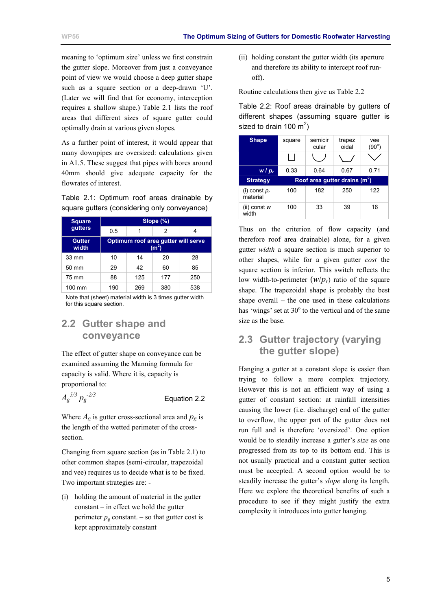<span id="page-7-0"></span>meaning to 'optimum size' unless we first constrain the gutter slope. Moreover from just a conveyance point of view we would choose a deep gutter shape such as a square section or a deep-drawn 'U'. (Later we will find that for economy, interception requires a shallow shape.) Table 2.1 lists the roof areas that different sizes of square gutter could optimally drain at various given slopes.

As a further point of interest, it would appear that many downpipes are oversized: calculations given in [A1.5.](#page-29-0) These suggest that pipes with bores around 40mm should give adequate capacity for the flowrates of interest.

Table 2.1: Optimum roof areas drainable by square gutters (considering only conveyance)

| <b>Square</b>          | Slope (%)                                      |     |     |     |
|------------------------|------------------------------------------------|-----|-----|-----|
| gutters                | 0.5                                            |     | 2   |     |
| <b>Gutter</b><br>width | Optimum roof area gutter will serve<br>$(m^2)$ |     |     |     |
| $33 \text{ mm}$        | 10                                             | 14  | 20  | 28  |
| 50 mm                  | 29                                             | 42  | 60  | 85  |
| 75 mm                  | 88                                             | 125 | 177 | 250 |
| 100 mm                 | 190                                            | 269 | 380 | 538 |

Note that (sheet) material width is 3 times gutter width for this square section.

### **2.2 Gutter shape and conveyance**

The effect of gutter shape on conveyance can be examined assuming the Manning formula for capacity is valid. Where it is, capacity is proportional to:

| $A_g^{\; 5/3} \, p_g^{\; -2/3}$ | Equation 2.2 |
|---------------------------------|--------------|
|                                 |              |

Where  $A_g$  is gutter cross-sectional area and  $p_g$  is the length of the wetted perimeter of the crosssection.

Changing from square section (as in Table 2.1) to other common shapes (semi-circular, trapezoidal and vee) requires us to decide what is to be fixed. Two important strategies are: -

(i) holding the amount of material in the gutter constant – in effect we hold the gutter perimeter  $p_g$  constant. – so that gutter cost is kept approximately constant

(ii) holding constant the gutter width (its aperture and therefore its ability to intercept roof runoff).

Routine calculations then give us Table 2.2

Table 2.2: Roof areas drainable by gutters of different shapes (assuming square gutter is sized to drain 100  $m^2$ )

| <b>Shape</b>                | square                         | semicir<br>cular | trapez<br>oidal | vee<br>$(90^{\circ})$ |
|-----------------------------|--------------------------------|------------------|-----------------|-----------------------|
|                             |                                |                  |                 |                       |
| $W / p_r$                   | 0.33                           | 0.64             | 0.67            | 0.71                  |
|                             | Roof area qutter drains $(m2)$ |                  |                 |                       |
| <b>Strategy</b>             |                                |                  |                 |                       |
| (i) const $p_r$<br>material | 100                            | 182              | 250             | 122                   |

Thus on the criterion of flow capacity (and therefore roof area drainable) alone, for a given gutter *width* a square section is much superior to other shapes, while for a given gutter *cost* the square section is inferior. This switch reflects the low width-to-perimeter  $(w/p<sub>r</sub>)$  ratio of the square shape. The trapezoidal shape is probably the best shape overall – the one used in these calculations has 'wings' set at  $30^{\circ}$  to the vertical and of the same size as the base.

### **2.3 Gutter trajectory (varying the gutter slope)**

Hanging a gutter at a constant slope is easier than trying to follow a more complex trajectory. However this is not an efficient way of using a gutter of constant section: at rainfall intensities causing the lower (i.e. discharge) end of the gutter to overflow, the upper part of the gutter does not run full and is therefore 'oversized'. One option would be to steadily increase a gutter's *size* as one progressed from its top to its bottom end. This is not usually practical and a constant gutter section must be accepted. A second option would be to steadily increase the gutter's *slope* along its length. Here we explore the theoretical benefits of such a procedure to see if they might justify the extra complexity it introduces into gutter hanging.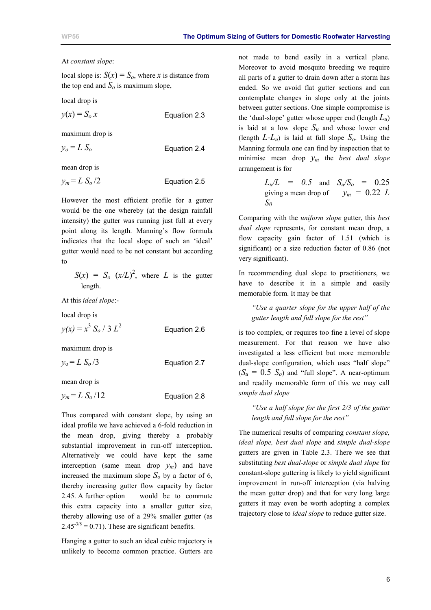#### At *constant slope*:

local slope is:  $S(x) = S_0$ , where *x* is distance from the top end and  $S<sub>o</sub>$  is maximum slope,

local drop is

$$
y(x) = S_0 x
$$
 Equation 2.3

maximum drop is

$$
y_o = L S_o
$$
 Equation 2.4

mean drop is

$$
y_m = L S_o / 2
$$
 Equation 2.5

However the most efficient profile for a gutter would be the one whereby (at the design rainfall intensity) the gutter was running just full at every point along its length. Manning's flow formula indicates that the local slope of such an 'ideal' gutter would need to be not constant but according to

 $S(x) = S_o(x/L)^2$ , where *L* is the gutter length.

At this *ideal slope*:-

local drop is

 $y(x) = x^3 S_0 / 3 L^2$ Equation 2.6

maximum drop is

 $y_0 = L S_0 / 3$  Equation 2.7

mean drop is

 $y_m = L S_0 / 12$  Equation 2.8

Thus compared with constant slope, by using an ideal profile we have achieved a 6-fold reduction in the mean drop, giving thereby a probably substantial improvement in run-off interception. Alternatively we could have kept the same interception (same mean drop  $y_m$ ) and have increased the maximum slope  $S_0$  by a factor of 6, thereby increasing gutter flow capacity by factor 2.45. A further option would be to commute this extra capacity into a smaller gutter size, thereby allowing use of a 29% smaller gutter (as  $2.45<sup>-3/8</sup> = 0.71$ . These are significant benefits.

Hanging a gutter to such an ideal cubic trajectory is unlikely to become common practice. Gutters are not made to bend easily in a vertical plane. Moreover to avoid mosquito breeding we require all parts of a gutter to drain down after a storm has ended. So we avoid flat gutter sections and can contemplate changes in slope only at the joints between gutter sections. One simple compromise is the 'dual-slope' gutter whose upper end (length  $L_u$ ) is laid at a low slope  $S_u$  and whose lower end (length  $L-L_u$ ) is laid at full slope  $S_o$ . Using the Manning formula one can find by inspection that to minimise mean drop *ym* the *best dual slope* arrangement is for

> $L_u/L = 0.5$  and  $S_u/S_o = 0.25$ giving a mean drop of  $y_m = 0.22$  *L S0*

Comparing with the *uniform slope* gutter, this *best dual slope* represents, for constant mean drop, a flow capacity gain factor of 1.51 (which is significant) or a size reduction factor of 0.86 (not very significant).

In recommending dual slope to practitioners, we have to describe it in a simple and easily memorable form. It may be that

*"Use a quarter slope for the upper half of the gutter length and full slope for the rest"* 

is too complex, or requires too fine a level of slope measurement. For that reason we have also investigated a less efficient but more memorable dual-slope configuration, which uses "half slope"  $(S_u = 0.5 S_o)$  and "full slope". A near-optimum and readily memorable form of this we may call *simple dual slope* 

*"Use a half slope for the first 2/3 of the gutter length and full slope for the rest"* 

The numerical results of comparing *constant slope, ideal slope, best dual slope* and *simple dual-slope* gutters are given in Table 2.3. There we see that substituting *best dual-slope* or *simple dual slope* for constant-slope guttering is likely to yield significant improvement in run-off interception (via halving the mean gutter drop) and that for very long large gutters it may even be worth adopting a complex trajectory close to *ideal slope* to reduce gutter size.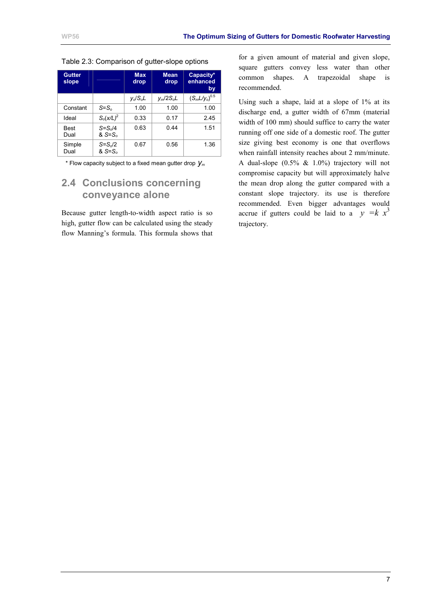| <b>Gutter</b><br>slope |                                     | <b>Max</b><br>drop | <b>Mean</b><br>drop | Capacity*<br>enhanced<br>by |
|------------------------|-------------------------------------|--------------------|---------------------|-----------------------------|
|                        |                                     | $V_o/S_oL$         | $y_m/2S_0L$         | $(S_m L/y_o)^{0.5}$         |
| Constant               | $S=S_0$                             | 1.00               | 1.00                | 1.00                        |
| Ideal                  | $S_0(x/L)^2$                        | 0.33               | 0.17                | 2.45                        |
| Best<br>Dual           | $S = S_0/4$<br>$&$ S=S <sub>o</sub> | 0.63               | 0.44                | 1.51                        |
| Simple<br>Dual         | $S=S_o/2$<br>$&$ S=S <sub>0</sub>   | 0.67               | 0.56                | 1.36                        |

<span id="page-9-0"></span>Table 2.3: Comparison of gutter-slope options

\* Flow capacity subject to a fixed mean gutter drop *ym*

### **2.4 Conclusions concerning conveyance alone**

Because gutter length-to-width aspect ratio is so high, gutter flow can be calculated using the steady flow Manning's formula. This formula shows that for a given amount of material and given slope, square gutters convey less water than other common shapes. A trapezoidal shape is recommended.

Using such a shape, laid at a slope of 1% at its discharge end, a gutter width of 67mm (material width of 100 mm) should suffice to carry the water running off one side of a domestic roof. The gutter size giving best economy is one that overflows when rainfall intensity reaches about 2 mm/minute. A dual-slope (0.5% & 1.0%) trajectory will not compromise capacity but will approximately halve the mean drop along the gutter compared with a constant slope trajectory. its use is therefore recommended. Even bigger advantages would accrue if gutters could be laid to a  $y = k x<sup>3</sup>$ trajectory.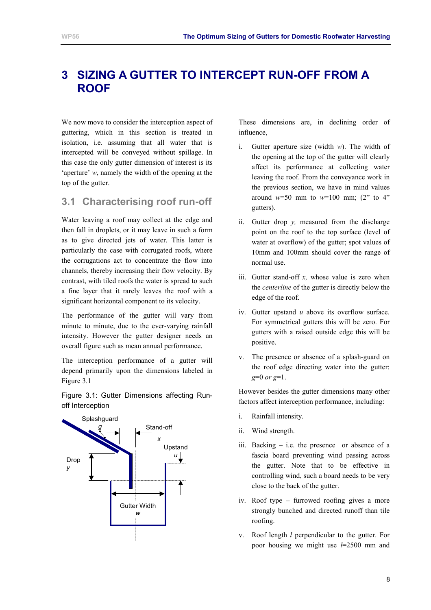# <span id="page-10-0"></span>**3 SIZING A GUTTER TO INTERCEPT RUN-OFF FROM A ROOF**

We now move to consider the interception aspect of guttering, which in this section is treated in isolation, i.e. assuming that all water that is intercepted will be conveyed without spillage. In this case the only gutter dimension of interest is its 'aperture' *w*, namely the width of the opening at the top of the gutter.

### **3.1 Characterising roof run-off**

Water leaving a roof may collect at the edge and then fall in droplets, or it may leave in such a form as to give directed jets of water. This latter is particularly the case with corrugated roofs, where the corrugations act to concentrate the flow into channels, thereby increasing their flow velocity. By contrast, with tiled roofs the water is spread to such a fine layer that it rarely leaves the roof with a significant horizontal component to its velocity.

The performance of the gutter will vary from minute to minute, due to the ever-varying rainfall intensity. However the gutter designer needs an overall figure such as mean annual performance.

The interception performance of a gutter will depend primarily upon the dimensions labeled in Figure 3.1

Figure 3.1: Gutter Dimensions affecting Runoff Interception



These dimensions are, in declining order of influence,

- i. Gutter aperture size (width *w*). The width of the opening at the top of the gutter will clearly affect its performance at collecting water leaving the roof. From the conveyance work in the previous section, we have in mind values around  $w=50$  mm to  $w=100$  mm; (2" to 4" gutters).
- ii. Gutter drop *y,* measured from the discharge point on the roof to the top surface (level of water at overflow) of the gutter; spot values of 10mm and 100mm should cover the range of normal use.
- iii. Gutter stand-off *x,* whose value is zero when the *centerline* of the gutter is directly below the edge of the roof.
- iv. Gutter upstand *u* above its overflow surface. For symmetrical gutters this will be zero. For gutters with a raised outside edge this will be positive.
- v. The presence or absence of a splash-guard on the roof edge directing water into the gutter: *g*=0 *or g*=1.

However besides the gutter dimensions many other factors affect interception performance, including:

- i. Rainfall intensity.
- ii. Wind strength.
- iii. Backing i.e. the presence or absence of a fascia board preventing wind passing across the gutter. Note that to be effective in controlling wind, such a board needs to be very close to the back of the gutter.
- iv. Roof type furrowed roofing gives a more strongly bunched and directed runoff than tile roofing.
- v. Roof length *l* perpendicular to the gutter. For poor housing we might use *l*=2500 mm and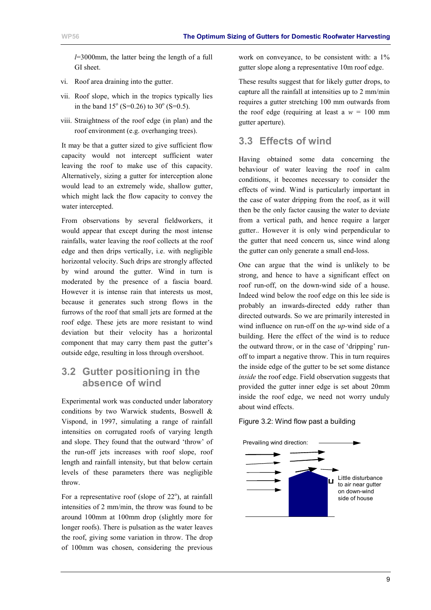<span id="page-11-0"></span>*l*=3000mm, the latter being the length of a full GI sheet.

- vi. Roof area draining into the gutter.
- vii. Roof slope, which in the tropics typically lies in the band  $15^{\circ}$  (S=0.26) to 30<sup>°</sup> (S=0.5).
- viii. Straightness of the roof edge (in plan) and the roof environment (e.g. overhanging trees).

It may be that a gutter sized to give sufficient flow capacity would not intercept sufficient water leaving the roof to make use of this capacity. Alternatively, sizing a gutter for interception alone would lead to an extremely wide, shallow gutter, which might lack the flow capacity to convey the water intercepted.

From observations by several fieldworkers, it would appear that except during the most intense rainfalls, water leaving the roof collects at the roof edge and then drips vertically, i.e. with negligible horizontal velocity. Such drips are strongly affected by wind around the gutter. Wind in turn is moderated by the presence of a fascia board. However it is intense rain that interests us most, because it generates such strong flows in the furrows of the roof that small jets are formed at the roof edge. These jets are more resistant to wind deviation but their velocity has a horizontal component that may carry them past the gutter's outside edge, resulting in loss through overshoot.

### **3.2 Gutter positioning in the absence of wind**

Experimental work was conducted under laboratory conditions by two Warwick students, Boswell & Vispond, in 1997, simulating a range of rainfall intensities on corrugated roofs of varying length and slope. They found that the outward 'throw' of the run-off jets increases with roof slope, roof length and rainfall intensity, but that below certain levels of these parameters there was negligible throw.

For a representative roof (slope of  $22^{\circ}$ ), at rainfall intensities of 2 mm/min, the throw was found to be around 100mm at 100mm drop (slightly more for longer roofs). There is pulsation as the water leaves the roof, giving some variation in throw. The drop of 100mm was chosen, considering the previous

work on conveyance, to be consistent with: a  $1\%$ gutter slope along a representative 10m roof edge.

These results suggest that for likely gutter drops, to capture all the rainfall at intensities up to 2 mm/min requires a gutter stretching 100 mm outwards from the roof edge (requiring at least a  $w = 100$  mm gutter aperture).

### **3.3 Effects of wind**

Having obtained some data concerning the behaviour of water leaving the roof in calm conditions, it becomes necessary to consider the effects of wind. Wind is particularly important in the case of water dripping from the roof, as it will then be the only factor causing the water to deviate from a vertical path, and hence require a larger gutter.. However it is only wind perpendicular to the gutter that need concern us, since wind along the gutter can only generate a small end-loss.

One can argue that the wind is unlikely to be strong, and hence to have a significant effect on roof run-off, on the down-wind side of a house. Indeed wind below the roof edge on this lee side is probably an inwards-directed eddy rather than directed outwards. So we are primarily interested in wind influence on run-off on the *up-*wind side of a building. Here the effect of the wind is to reduce the outward throw, or in the case of 'dripping' runoff to impart a negative throw. This in turn requires the inside edge of the gutter to be set some distance *inside* the roof edge. Field observation suggests that provided the gutter inner edge is set about 20mm inside the roof edge, we need not worry unduly about wind effects.

#### Figure 3.2: Wind flow past a building

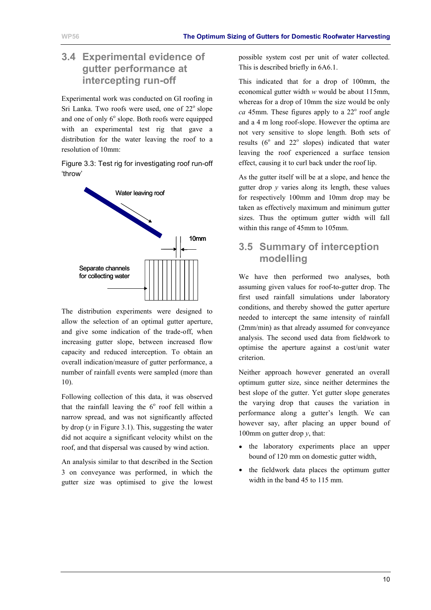### <span id="page-12-0"></span>**3.4 Experimental evidence of gutter performance at intercepting run-off**

Experimental work was conducted on GI roofing in Sri Lanka. Two roofs were used, one of  $22^{\circ}$  slope and one of only  $6^{\circ}$  slope. Both roofs were equipped with an experimental test rig that gave a distribution for the water leaving the roof to a resolution of 10mm:

Figure 3.3: Test rig for investigating roof run-off 'throw'



The distribution experiments were designed to allow the selection of an optimal gutter aperture, and give some indication of the trade-off, when increasing gutter slope, between increased flow capacity and reduced interception. To obtain an overall indication/measure of gutter performance, a number of rainfall events were sampled (more than 10).

Following collection of this data, it was observed that the rainfall leaving the  $6^\circ$  roof fell within a narrow spread, and was not significantly affected by drop (*y* in [Figure 3.1\)](#page-10-0). This, suggesting the water did not acquire a significant velocity whilst on the roof, and that dispersal was caused by wind action.

An analysis similar to that described in the Section 3 on conveyance was performed, in which the gutter size was optimised to give the lowest

possible system cost per unit of water collected. This is described briefly in [6A6.1.](#page-40-0)

This indicated that for a drop of 100mm, the economical gutter width *w* would be about 115mm, whereas for a drop of 10mm the size would be only  $ca$  45mm. These figures apply to a  $22^{\circ}$  roof angle and a 4 m long roof-slope. However the optima are not very sensitive to slope length. Both sets of results  $(6^{\circ}$  and  $22^{\circ}$  slopes) indicated that water leaving the roof experienced a surface tension effect, causing it to curl back under the roof lip.

As the gutter itself will be at a slope, and hence the gutter drop *y* varies along its length, these values for respectively 100mm and 10mm drop may be taken as effectively maximum and minimum gutter sizes. Thus the optimum gutter width will fall within this range of 45mm to 105mm.

### **3.5 Summary of interception modelling**

We have then performed two analyses, both assuming given values for roof-to-gutter drop. The first used rainfall simulations under laboratory conditions, and thereby showed the gutter aperture needed to intercept the same intensity of rainfall (2mm/min) as that already assumed for conveyance analysis. The second used data from fieldwork to optimise the aperture against a cost/unit water criterion.

Neither approach however generated an overall optimum gutter size, since neither determines the best slope of the gutter. Yet gutter slope generates the varying drop that causes the variation in performance along a gutter's length. We can however say, after placing an upper bound of 100mm on gutter drop  $v$ , that:

- the laboratory experiments place an upper bound of 120 mm on domestic gutter width,
- the fieldwork data places the optimum gutter width in the band 45 to 115 mm.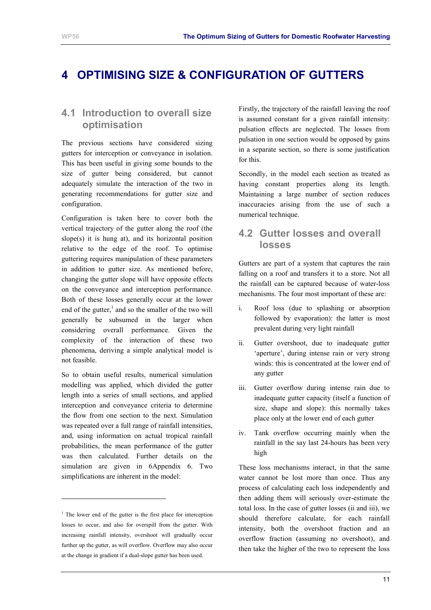# <span id="page-13-0"></span>**4 OPTIMISING SIZE & CONFIGURATION OF GUTTERS**

### **4.1 Introduction to overall size optimisation**

The previous sections have considered sizing gutters for interception or conveyance in isolation. This has been useful in giving some bounds to the size of gutter being considered, but cannot adequately simulate the interaction of the two in generating recommendations for gutter size and configuration.

Configuration is taken here to cover both the vertical trajectory of the gutter along the roof (the slope $(s)$  it is hung at), and its horizontal position relative to the edge of the roof. To optimise guttering requires manipulation of these parameters in addition to gutter size. As mentioned before, changing the gutter slope will have opposite effects on the conveyance and interception performance. Both of these losses generally occur at the lower end of the gutter, $\frac{1}{2}$  and so the smaller of the two will generally be subsumed in the larger when considering overall performance. Given the complexity of the interaction of these two phenomena, deriving a simple analytical model is not feasible.

So to obtain useful results, numerical simulation modelling was applied, which divided the gutter length into a series of small sections, and applied interception and conveyance criteria to determine the flow from one section to the next. Simulation was repeated over a full range of rainfall intensities, and, using information on actual tropical rainfall probabilities, the mean performance of the gutter was then calculated. Further details on the simulation are given in [6Appendix 6.](#page-40-0) Two simplifications are inherent in the model:

l

Firstly, the trajectory of the rainfall leaving the roof is assumed constant for a given rainfall intensity: pulsation effects are neglected. The losses from pulsation in one section would be opposed by gains in a separate section, so there is some justification for this.

Secondly, in the model each section as treated as having constant properties along its length. Maintaining a large number of section reduces inaccuracies arising from the use of such a numerical technique.

### **4.2 Gutter losses and overall losses**

Gutters are part of a system that captures the rain falling on a roof and transfers it to a store. Not all the rainfall can be captured because of water-loss mechanisms. The four most important of these are:

- i. Roof loss (due to splashing or absorption followed by evaporation): the latter is most prevalent during very light rainfall
- ii. Gutter overshoot, due to inadequate gutter 'aperture', during intense rain or very strong winds: this is concentrated at the lower end of any gutter
- iii. Gutter overflow during intense rain due to inadequate gutter capacity (itself a function of size, shape and slope): this normally takes place only at the lower end of each gutter
- iv. Tank overflow occurring mainly when the rainfall in the say last 24-hours has been very high

These loss mechanisms interact, in that the same water cannot be lost more than once. Thus any process of calculating each loss independently and then adding them will seriously over-estimate the total loss. In the case of gutter losses (ii and iii), we should therefore calculate, for each rainfall intensity, both the overshoot fraction and an overflow fraction (assuming no overshoot), and then take the higher of the two to represent the loss

<sup>&</sup>lt;sup>1</sup> The lower end of the gutter is the first place for interception losses to occur, and also for overspill from the gutter. With increasing rainfall intensity, overshoot will gradually occur further up the gutter, as will overflow. Overflow may also occur at the change in gradient if a dual-slope gutter has been used.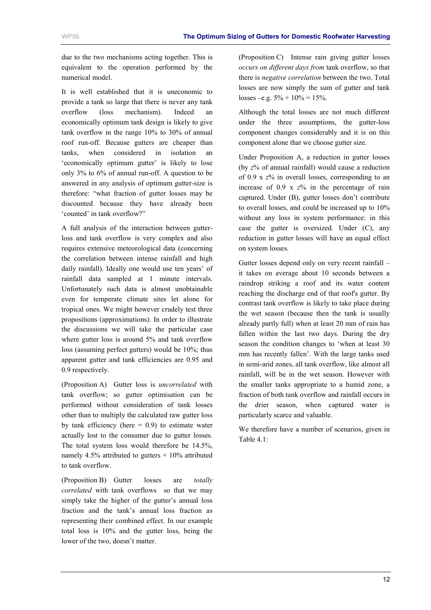due to the two mechanisms acting together. This is equivalent to the operation performed by the numerical model.

It is well established that it is uneconomic to provide a tank so large that there is never any tank overflow (loss mechanism). Indeed an economically optimum tank design is likely to give tank overflow in the range 10% to 30% of annual roof run-off. Because gutters are cheaper than tanks, when considered in isolation an 'economically optimum gutter' is likely to lose only 3% to 6% of annual run-off. A question to be answered in any analysis of optimum gutter-size is therefore: "what fraction of gutter losses may be discounted because they have already been 'counted' in tank overflow?"

A full analysis of the interaction between gutterloss and tank overflow is very complex and also requires extensive meteorological data (concerning the correlation between intense rainfall and high daily rainfall). Ideally one would use ten years' of rainfall data sampled at 1 minute intervals. Unfortunately such data is almost unobtainable even for temperate climate sites let alone for tropical ones. We might however crudely test three propositions (approximations). In order to illustrate the discussions we will take the particular case where gutter loss is around 5% and tank overflow loss (assuming perfect gutters) would be 10%; thus apparent gutter and tank efficiencies are 0.95 and 0.9 respectively.

(Proposition A) Gutter loss is *uncorrelated* with tank overflow; so gutter optimisation can be performed without consideration of tank losses other than to multiply the calculated raw gutter loss by tank efficiency (here  $= 0.9$ ) to estimate water actually lost to the consumer due to gutter losses. The total system loss would therefore be 14.5%, namely 4.5% attributed to gutters  $+$  10% attributed to tank overflow.

(Proposition B) Gutter losses are *totally correlated* with tank overflows so that we may simply take the higher of the gutter's annual loss fraction and the tank's annual loss fraction as representing their combined effect. In our example total loss is 10% and the gutter loss, being the lower of the two, doesn't matter.

(Proposition C) Intense rain giving gutter losses *occurs on different days from* tank overflow, so that there is *negative correlation* between the two. Total losses are now simply the sum of gutter and tank losses –e.g.  $5\% + 10\% = 15\%$ .

Although the total losses are not much different under the three assumptions, the gutter-loss component changes considerably and it is on this component alone that we choose gutter size.

Under Proposition A, a reduction in gutter losses (by *z*% of annual rainfall) would cause a reduction of 0.9 x *z*% in overall losses, corresponding to an increase of 0.9 x *z*% in the percentage of rain captured. Under (B), gutter losses don't contribute to overall losses, and could be increased up to 10% without any loss in system performance: in this case the gutter is oversized. Under (C), any reduction in gutter losses will have an equal effect on system losses.

Gutter losses depend only on very recent rainfall – it takes on average about 10 seconds between a raindrop striking a roof and its water content reaching the discharge end of that roof's gutter. By contrast tank overflow is likely to take place during the wet season (because then the tank is usually already partly full) when at least 20 mm of rain has fallen within the last two days. During the dry season the condition changes to 'when at least 30 mm has recently fallen'. With the large tanks used in semi-arid zones, all tank overflow, like almost all rainfall, will be in the wet season. However with the smaller tanks appropriate to a humid zone, a fraction of both tank overflow and rainfall occurs in the drier season, when captured water is particularly scarce and valuable.

We therefore have a number of scenarios, given in Table 4.1: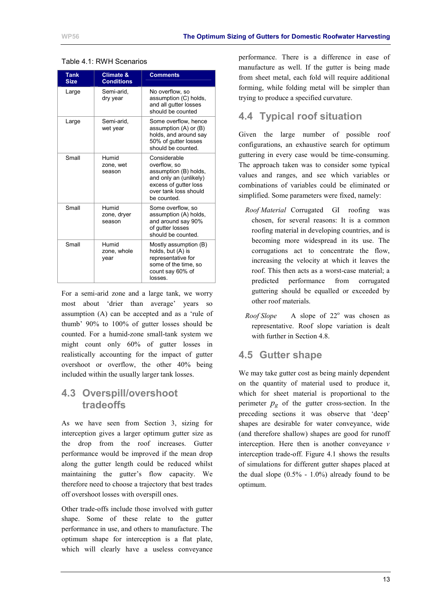| <b>Tank</b><br><b>Size</b> | <b>Climate &amp;</b><br><b>Conditions</b> | <b>Comments</b>                                                                                                                                  |
|----------------------------|-------------------------------------------|--------------------------------------------------------------------------------------------------------------------------------------------------|
| Large                      | Semi-arid,<br>dry year                    | No overflow, so<br>assumption (C) holds.<br>and all gutter losses<br>should be counted                                                           |
| Large                      | Semi-arid.<br>wet year                    | Some overflow, hence<br>assumption (A) or (B)<br>holds, and around say<br>50% of gutter losses<br>should be counted.                             |
| Small                      | Humid<br>zone, wet<br>season              | Considerable<br>overflow, so<br>assumption (B) holds,<br>and only an (unlikely)<br>excess of gutter loss<br>over tank loss should<br>be counted. |
| Small                      | Humid<br>zone, dryer<br>season            | Some overflow, so<br>assumption (A) holds,<br>and around say 90%<br>of gutter losses<br>should be counted.                                       |
| Small                      | Humid<br>zone, whole<br>year              | Mostly assumption (B)<br>holds, but (A) is<br>representative for<br>some of the time, so<br>count say 60% of<br>losses.                          |

#### <span id="page-15-0"></span>Table 4.1: RWH Scenarios

For a semi-arid zone and a large tank, we worry most about 'drier than average' years so assumption (A) can be accepted and as a 'rule of thumb' 90% to 100% of gutter losses should be counted. For a humid-zone small-tank system we might count only 60% of gutter losses in realistically accounting for the impact of gutter overshoot or overflow, the other 40% being included within the usually larger tank losses.

### **4.3 Overspill/overshoot tradeoffs**

As we have seen from Section 3, sizing for interception gives a larger optimum gutter size as the drop from the roof increases. Gutter performance would be improved if the mean drop along the gutter length could be reduced whilst maintaining the gutter's flow capacity. We therefore need to choose a trajectory that best trades off overshoot losses with overspill ones.

Other trade-offs include those involved with gutter shape. Some of these relate to the gutter performance in use, and others to manufacture. The optimum shape for interception is a flat plate, which will clearly have a useless conveyance

performance. There is a difference in ease of manufacture as well. If the gutter is being made from sheet metal, each fold will require additional forming, while folding metal will be simpler than trying to produce a specified curvature.

### **4.4 Typical roof situation**

Given the large number of possible roof configurations, an exhaustive search for optimum guttering in every case would be time-consuming. The approach taken was to consider some typical values and ranges, and see which variables or combinations of variables could be eliminated or simplified. Some parameters were fixed, namely:

- *Roof Material* Corrugated GI roofing was chosen, for several reasons: It is a common roofing material in developing countries, and is becoming more widespread in its use. The corrugations act to concentrate the flow, increasing the velocity at which it leaves the roof. This then acts as a worst-case material; a predicted performance from corrugated guttering should be equalled or exceeded by other roof materials.
- *Roof Slope* A slope of  $22^{\circ}$  was chosen as representative. Roof slope variation is dealt with further in Section 4.8.

### **4.5 Gutter shape**

We may take gutter cost as being mainly dependent on the quantity of material used to produce it, which for sheet material is proportional to the perimeter  $p_g$  of the gutter cross-section. In the preceding sections it was observe that 'deep' shapes are desirable for water conveyance, wide (and therefore shallow) shapes are good for runoff interception. Here then is another conveyance *v* interception trade-off. [Figure 4.1](#page-16-0) shows the results of simulations for different gutter shapes placed at the dual slope  $(0.5\% - 1.0\%)$  already found to be optimum.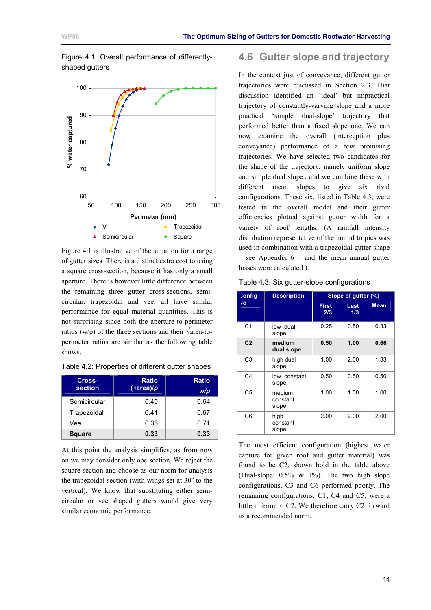

<span id="page-16-0"></span>Figure 4.1: Overall performance of differently-

Figure 4.1 is illustrative of the situation for a range of gutter sizes. There is a distinct extra cost to using a square cross-section, because it has only a small aperture. There is however little difference between the remaining three gutter cross-sections, semicircular, trapezoidal and vee: all have similar performance for equal material quantities. This is not surprising since both the aperture-to-perimeter ratios (w/p) of the three sections and their  $\sqrt{area-to}$ perimeter ratios are similar as the following table shows.

| Cross-<br>section | <b>Ratio</b><br>$(\sqrt{area})/p$ | <b>Ratio</b><br>W/p |
|-------------------|-----------------------------------|---------------------|
| Semicircular      | 0.40                              | 0.64                |
| Trapezoidal       | 0.41                              | 0.67                |
| Vee               | 0.35                              | 0.71                |
| <b>Square</b>     | 0.33                              | 0.33                |

At this point the analysis simplifies, as from now on we may consider only one section, We reject the square section and choose as our norm for analysis the trapezoidal section (with wings set at  $30^{\circ}$  to the vertical). We know that substituting either semicircular or vee shaped gutters would give very similar economic performance.

### **4.6 Gutter slope and trajectory**

In the context just of conveyance, different gutter trajectories were discussed in Section [2.3.](#page-7-0) That discussion identified an 'ideal' but impractical trajectory of constantly-varying slope and a more practical 'simple dual-slope' trajectory that performed better than a fixed slope one. We can now examine the overall (interception plus conveyance) performance of a few promising trajectories. We have selected two candidates for the shape of the trajectory, namely uniform slope and simple dual slope., and we combine these with different mean slopes to give six rival configurations. These six, listed in Table 4.3, were tested in the overall model and their gutter efficiencies plotted against gutter width for a variety of roof lengths. (A rainfall intensity distribution representative of the humid tropics was used in combination with a trapezoidal gutter shape – see Appendix  $6$  – and the mean annual gutter losses were calculated.).

|  |  | Table 4.3: Six gutter-slope configurations |
|--|--|--------------------------------------------|
|--|--|--------------------------------------------|

| <b>Config</b>  | <b>Description</b>           |              | Slope of gutter (%) |             |
|----------------|------------------------------|--------------|---------------------|-------------|
| ١o             |                              | First<br>2/3 | Last<br>1/3         | <b>Mean</b> |
| C <sub>1</sub> | low dual<br>slope            | 0.25         | 0.50                | 0.33        |
| C <sub>2</sub> | medium<br>dual slope         | 0.50         | 1.00                | 0.66        |
| C <sub>3</sub> | high dual<br>slope           | 1.00         | 2.00                | 1.33        |
| C <sub>4</sub> | low constant<br>slope        | 0.50         | 0.50                | 0.50        |
| C5             | medium,<br>constant<br>slope | 1.00         | 1.00                | 1.00        |
| C <sub>6</sub> | high<br>constant<br>slope    | 2.00         | 2.00                | 2.00        |

The most efficient configuration (highest water capture for given roof and gutter material) was found to be C2, shown bold in the table above (Dual-slope:  $0.5\% \& 1\%$ ). The two high slope configurations, C3 and C6 performed poorly. The remaining configurations, C1, C4 and C5, were a little inferior to C2. We therefore carry C2 forward as a recommended norm.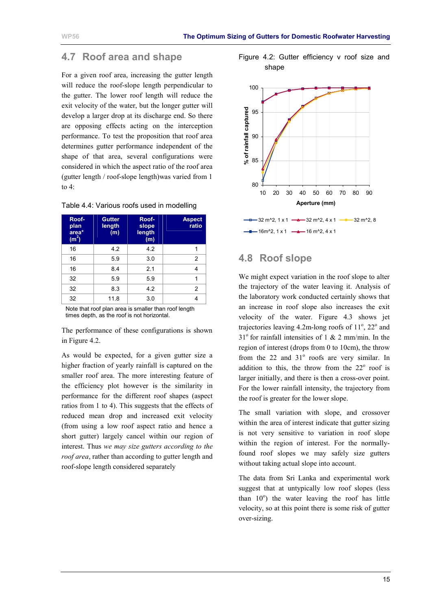### <span id="page-17-0"></span>**4.7 Roof area and shape**

For a given roof area, increasing the gutter length will reduce the roof-slope length perpendicular to the gutter. The lower roof length will reduce the exit velocity of the water, but the longer gutter will develop a larger drop at its discharge end. So there are opposing effects acting on the interception performance. To test the proposition that roof area determines gutter performance independent of the shape of that area, several configurations were considered in which the aspect ratio of the roof area (gutter length / roof-slope length)was varied from 1 to 4:

| Roof-<br>plan<br>area*<br>(m <sup>2</sup> ) | <b>Gutter</b><br>length<br>(m) | Roof-<br>slope<br>length<br>(m) | <b>Aspect</b><br>ratio |
|---------------------------------------------|--------------------------------|---------------------------------|------------------------|
| 16                                          | 4.2                            | 4.2                             | 1                      |
| 16                                          | 5.9                            | 3.0                             | $\overline{2}$         |
| 16                                          | 8.4                            | 2.1                             | 4                      |
| 32                                          | 5.9                            | 5.9                             | 1                      |
| 32                                          | 8.3                            | 4.2                             | $\overline{2}$         |
| 32                                          | 11.8                           | 3.0                             | 4                      |
| .                                           | $\sim$ $\sim$                  | $\cdots$<br>$\cdots$            | .<br>                  |

|  |  |  |  | Table 4.4: Various roofs used in modelling |
|--|--|--|--|--------------------------------------------|
|--|--|--|--|--------------------------------------------|

Note that roof plan area is smaller than roof length times depth, as the roof is not horizontal.

The performance of these configurations is shown in Figure 4.2.

As would be expected, for a given gutter size a higher fraction of yearly rainfall is captured on the smaller roof area. The more interesting feature of the efficiency plot however is the similarity in performance for the different roof shapes (aspect ratios from 1 to 4). This suggests that the effects of reduced mean drop and increased exit velocity (from using a low roof aspect ratio and hence a short gutter) largely cancel within our region of interest. Thus *we may size gutters according to the roof area*, rather than according to gutter length and roof-slope length considered separately





### **4.8 Roof slope**

We might expect variation in the roof slope to alter the trajectory of the water leaving it. Analysis of the laboratory work conducted certainly shows that an increase in roof slope also increases the exit velocity of the water. [Figure 4.3](#page-18-0) shows jet trajectories leaving  $4.2$ m-long roofs of  $11^\circ$ ,  $22^\circ$  and  $31^{\circ}$  for rainfall intensities of 1 & 2 mm/min. In the region of interest (drops from 0 to 10cm), the throw from the  $22$  and  $31^\circ$  roofs are very similar. In addition to this, the throw from the  $22^{\circ}$  roof is larger initially, and there is then a cross-over point. For the lower rainfall intensity, the trajectory from the roof is greater for the lower slope.

The small variation with slope, and crossover within the area of interest indicate that gutter sizing is not very sensitive to variation in roof slope within the region of interest. For the normallyfound roof slopes we may safely size gutters without taking actual slope into account.

The data from Sri Lanka and experimental work suggest that at untypically low roof slopes (less than  $10^{\circ}$ ) the water leaving the roof has little velocity, so at this point there is some risk of gutter over-sizing.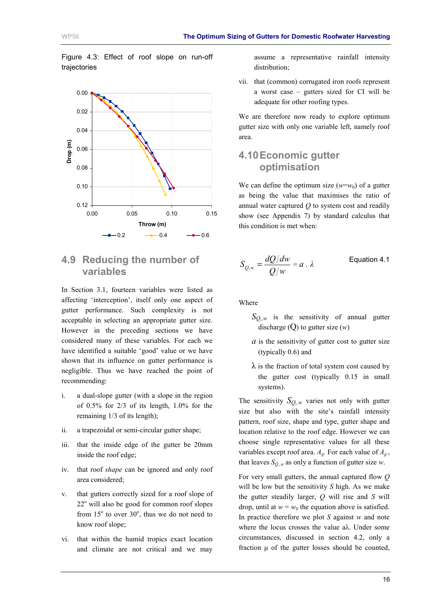<span id="page-18-0"></span>Figure 4.3: Effect of roof slope on run-off trajectories



### **4.9 Reducing the number of variables**

In Section [3.1,](#page-10-0) fourteen variables were listed as affecting 'interception', itself only one aspect of gutter performance. Such complexity is not acceptable in selecting an appropriate gutter size. However in the preceding sections we have considered many of these variables. For each we have identified a suitable 'good' value or we have shown that its influence on gutter performance is negligible. Thus we have reached the point of recommending:

- i. a dual-slope gutter (with a slope in the region of  $0.5\%$  for  $2/3$  of its length,  $1.0\%$  for the remaining 1/3 of its length);
- ii. a trapezoidal or semi-circular gutter shape;
- iii. that the inside edge of the gutter be 20mm inside the roof edge;
- iv. that roof *shape* can be ignored and only roof area considered;
- v. that gutters correctly sized for a roof slope of 22<sup>°</sup> will also be good for common roof slopes from  $15^{\circ}$  to over  $30^{\circ}$ , thus we do not need to know roof slope;
- vi. that within the humid tropics exact location and climate are not critical and we may

assume a representative rainfall intensity distribution;

vii. that (common) corrugated iron roofs represent a worst case – gutters sized for CI will be adequate for other roofing types.

We are therefore now ready to explore optimum gutter size with only one variable left, namely roof area.

### **4.10 Economic gutter optimisation**

We can define the optimum size  $(w=w_0)$  of a gutter as being the value that maximises the ratio of annual water captured *Q* to system cost and readily show (see [Appendix 7\)](#page-42-0) by standard calculus that this condition is met when:

$$
S_{Q,w} = \frac{dQ/dw}{Q/w} = a \cdot \lambda
$$
 Equation 4.1

Where

- *S<sub>Q,,w*</sub> is the sensitivity of annual gutter discharge  $(Q)$  to gutter size  $(w)$
- *a* is the sensitivity of gutter cost to gutter size (typically 0.6) and
- $\lambda$  is the fraction of total system cost caused by the gutter cost (typically 0.15 in small systems).

The sensitivity  $S_{Q,w}$  varies not only with gutter size but also with the site's rainfall intensity pattern, roof size, shape and type, gutter shape and location relative to the roof edge. However we can choose single representative values for all these variables except roof area.  $A_g$ . For each value of  $A_g$ , that leaves  $S_{Q,w}$  as only a function of gutter size *w*.

For very small gutters, the annual captured flow *Q* will be low but the sensitivity *S* high. As we make the gutter steadily larger, *Q* will rise and *S* will drop, until at  $w = w_0$  the equation above is satisfied. In practice therefore we plot *S* against *w* and note where the locus crosses the value aλ. Under some circumstances, discussed in section 4.2, only a fraction  $\mu$  of the gutter losses should be counted,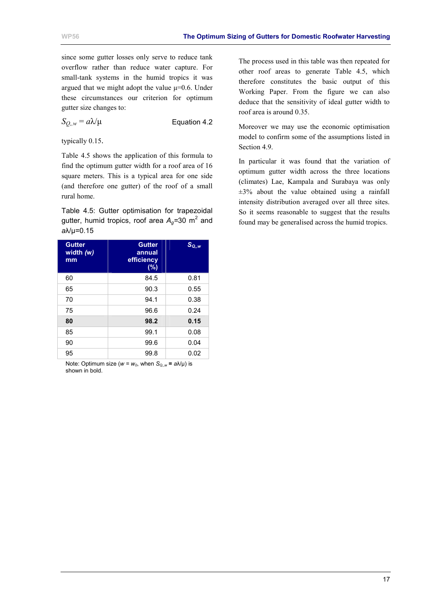since some gutter losses only serve to reduce tank overflow rather than reduce water capture. For small-tank systems in the humid tropics it was argued that we might adopt the value  $\mu$ =0.6. Under these circumstances our criterion for optimum gutter size changes to:

$$
S_{Q_i,w} = a\lambda/\mu
$$
 Equation 4.2

typically 0.15.

Table 4.5 shows the application of this formula to find the optimum gutter width for a roof area of 16 square meters. This is a typical area for one side (and therefore one gutter) of the roof of a small rural home.

Table 4.5: Gutter optimisation for trapezoidal gutter, humid tropics, roof area A<sub>g</sub>=30 m<sup>2</sup> and *a*λ/µ=0.15

| <b>Gutter</b><br>width (w)<br>mm | <b>Gutter</b><br>annual<br>efficiency<br>$(\%)$ | $S_{Q,w}$ |
|----------------------------------|-------------------------------------------------|-----------|
| 60                               | 84.5                                            | 0.81      |
| 65                               | 90.3                                            | 0.55      |
| 70                               | 94.1                                            | 0.38      |
| 75                               | 96.6                                            | 0.24      |
| 80                               | 98.2                                            | 0.15      |
| 85                               | 99.1                                            | 0.08      |
| 90                               | 99.6                                            | 0.04      |
| 95                               | 99.8                                            | 0.02      |

Note: Optimum size ( $w = w_0$ , when  $S_{Q,w} = a\lambda/\mu$ ) is shown in bold.

The process used in this table was then repeated for other roof areas to generate Table 4.5, which therefore constitutes the basic output of this Working Paper. From the figure we can also deduce that the sensitivity of ideal gutter width to roof area is around 0.35.

Moreover we may use the economic optimisation model to confirm some of the assumptions listed in Section [4.9.](#page-18-0)

In particular it was found that the variation of optimum gutter width across the three locations (climates) Lae, Kampala and Surabaya was only  $\pm 3\%$  about the value obtained using a rainfall intensity distribution averaged over all three sites. So it seems reasonable to suggest that the results found may be generalised across the humid tropics.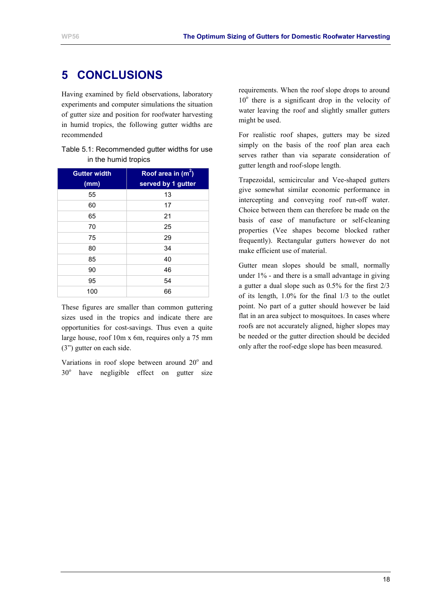# <span id="page-20-0"></span>**5 CONCLUSIONS**

Having examined by field observations, laboratory experiments and computer simulations the situation of gutter size and position for roofwater harvesting in humid tropics, the following gutter widths are recommended

| Table 5.1: Recommended gutter widths for use |  |
|----------------------------------------------|--|
| in the humid tropics                         |  |

| <b>Gutter width</b><br>(mm) | Roof area in $(m^2)$<br>served by 1 gutter |
|-----------------------------|--------------------------------------------|
| 55                          | 13                                         |
| 60                          | 17                                         |
| 65                          | 21                                         |
| 70                          | 25                                         |
| 75                          | 29                                         |
| 80                          | 34                                         |
| 85                          | 40                                         |
| 90                          | 46                                         |
| 95                          | 54                                         |
| 100                         | 66                                         |

These figures are smaller than common guttering sizes used in the tropics and indicate there are opportunities for cost-savings. Thus even a quite large house, roof 10m x 6m, requires only a 75 mm (3") gutter on each side.

Variations in roof slope between around 20° and 30° have negligible effect on gutter size requirements. When the roof slope drops to around 10° there is a significant drop in the velocity of water leaving the roof and slightly smaller gutters might be used.

For realistic roof shapes, gutters may be sized simply on the basis of the roof plan area each serves rather than via separate consideration of gutter length and roof-slope length.

Trapezoidal, semicircular and Vee-shaped gutters give somewhat similar economic performance in intercepting and conveying roof run-off water. Choice between them can therefore be made on the basis of ease of manufacture or self-cleaning properties (Vee shapes become blocked rather frequently). Rectangular gutters however do not make efficient use of material.

Gutter mean slopes should be small, normally under 1% - and there is a small advantage in giving a gutter a dual slope such as 0.5% for the first 2/3 of its length, 1.0% for the final 1/3 to the outlet point. No part of a gutter should however be laid flat in an area subject to mosquitoes. In cases where roofs are not accurately aligned, higher slopes may be needed or the gutter direction should be decided only after the roof-edge slope has been measured.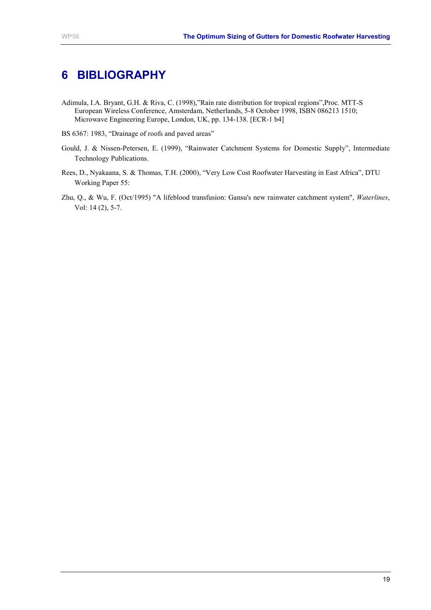# <span id="page-21-0"></span>**6 BIBLIOGRAPHY**

- Adimula, I.A. Bryant, G.H. & Riva, C. (1998),"Rain rate distribution for tropical regions",Proc. MTT-S European Wireless Conference, Amsterdam, Netherlands, 5-8 October 1998, ISBN 086213 1510; Microwave Engineering Europe, London, UK, pp. 134-138. [ECR-1 b4]
- BS 6367: 1983, "Drainage of roofs and paved areas"
- Gould, J. & Nissen-Petersen, E. (1999), "Rainwater Catchment Systems for Domestic Supply", Intermediate Technology Publications.
- Rees, D., Nyakaana, S. & Thomas, T.H. (2000), "Very Low Cost Roofwater Harvesting in East Africa", DTU Working Paper 55:
- Zhu, Q., & Wu, F. (Oct/1995) "A lifeblood transfusion: Gansu's new rainwater catchment system", *Waterlines*, Vol: 14 (2), 5-7.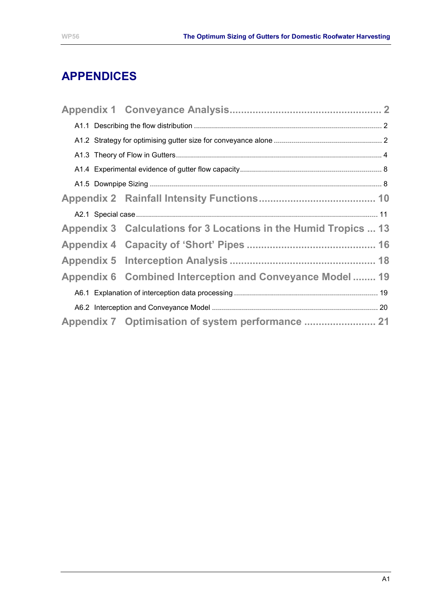# **APPENDICES**

| Appendix 3 Calculations for 3 Locations in the Humid Tropics  13 |  |
|------------------------------------------------------------------|--|
|                                                                  |  |
|                                                                  |  |
| Appendix 6 Combined Interception and Conveyance Model 19         |  |
|                                                                  |  |
|                                                                  |  |
|                                                                  |  |
|                                                                  |  |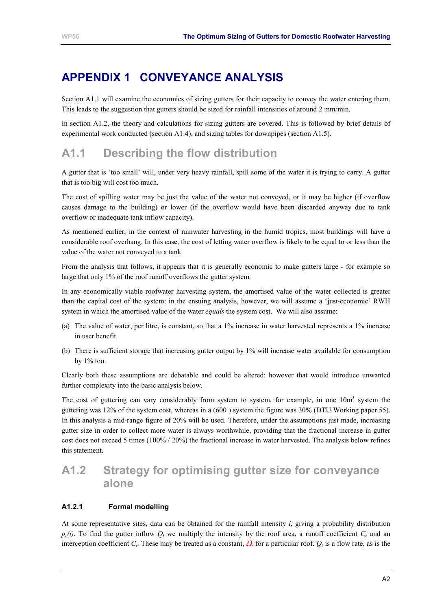# <span id="page-23-0"></span>**APPENDIX 1 CONVEYANCE ANALYSIS**

Section A1.1 will examine the economics of sizing gutters for their capacity to convey the water entering them. This leads to the suggestion that gutters should be sized for rainfall intensities of around 2 mm/min.

In section A1.2, the theory and calculations for sizing gutters are covered. This is followed by brief details of experimental work conducted (section [A1.4\)](#page-29-0), and sizing tables for downpipes (section [A1.5\)](#page-29-0).

# **A1.1 Describing the flow distribution**

A gutter that is 'too small' will, under very heavy rainfall, spill some of the water it is trying to carry. A gutter that is too big will cost too much.

The cost of spilling water may be just the value of the water not conveyed, or it may be higher (if overflow causes damage to the building) or lower (if the overflow would have been discarded anyway due to tank overflow or inadequate tank inflow capacity).

As mentioned earlier, in the context of rainwater harvesting in the humid tropics, most buildings will have a considerable roof overhang. In this case, the cost of letting water overflow is likely to be equal to or less than the value of the water not conveyed to a tank.

From the analysis that follows, it appears that it is generally economic to make gutters large - for example so large that only 1% of the roof runoff overflows the gutter system.

In any economically viable roofwater harvesting system, the amortised value of the water collected is greater than the capital cost of the system: in the ensuing analysis, however, we will assume a 'just-economic' RWH system in which the amortised value of the water *equals* the system cost. We will also assume:

- (a) The value of water, per litre, is constant, so that a 1% increase in water harvested represents a 1% increase in user benefit.
- (b) There is sufficient storage that increasing gutter output by 1% will increase water available for consumption by  $1\%$  too.

Clearly both these assumptions are debatable and could be altered: however that would introduce unwanted further complexity into the basic analysis below.

The cost of guttering can vary considerably from system to system, for example, in one  $10m<sup>3</sup>$  system the guttering was 12% of the system cost, whereas in a (600 ) system the figure was 30% (DTU Working paper 55). In this analysis a mid-range figure of 20% will be used. Therefore, under the assumptions just made, increasing gutter size in order to collect more water is always worthwhile, providing that the fractional increase in gutter cost does not exceed 5 times (100% / 20%) the fractional increase in water harvested. The analysis below refines this statement.

# **A1.2 Strategy for optimising gutter size for conveyance alone**

#### **A1.2.1 Formal modelling**

At some representative sites, data can be obtained for the rainfall intensity *i*, giving a probability distribution  $p_r(i)$ . To find the gutter inflow  $Q_i$  we multiply the intensity by the roof area, a runoff coefficient  $C_r$  and an interception coefficient *C<sub>i</sub>*. These may be treated as a constant,  $\Omega$ , for a particular roof.  $O_i$  is a flow rate, as is the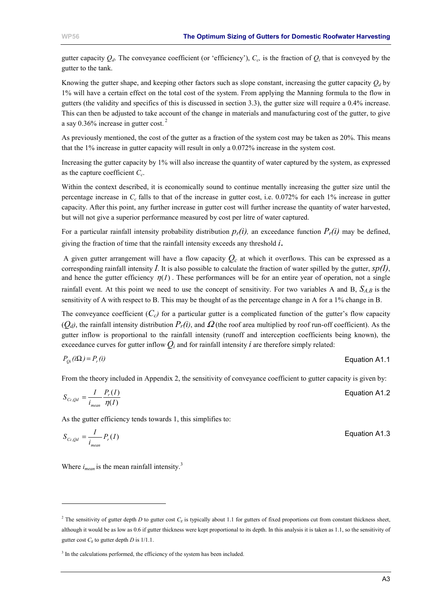gutter capacity  $Q_d$ . The conveyance coefficient (or 'efficiency'),  $C_c$ , is the fraction of  $Q_i$  that is conveyed by the gutter to the tank.

Knowing the gutter shape, and keeping other factors such as slope constant, increasing the gutter capacity  $Q_d$  by 1% will have a certain effect on the total cost of the system. From applying the Manning formula to the flow in gutters (the validity and specifics of this is discussed in section 3.3), the gutter size will require a 0.4% increase. This can then be adjusted to take account of the change in materials and manufacturing cost of the gutter, to give a say 0.36% increase in gutter cost. 2

As previously mentioned, the cost of the gutter as a fraction of the system cost may be taken as 20%. This means that the 1% increase in gutter capacity will result in only a 0.072% increase in the system cost.

Increasing the gutter capacity by 1% will also increase the quantity of water captured by the system, as expressed as the capture coefficient *C<sub>c</sub>*.

Within the context described, it is economically sound to continue mentally increasing the gutter size until the percentage increase in  $C_c$  falls to that of the increase in gutter cost, i.e. 0.072% for each 1% increase in gutter capacity. After this point, any further increase in gutter cost will further increase the quantity of water harvested, but will not give a superior performance measured by cost per litre of water captured.

For a particular rainfall intensity probability distribution  $p_r(i)$ , an exceedance function  $P_r(i)$  may be defined, giving the fraction of time that the rainfall intensity exceeds any threshold *i*.

A given gutter arrangement will have a flow capacity  $Q_c$  at which it overflows. This can be expressed as a corresponding rainfall intensity  $I$ . It is also possible to calculate the fraction of water spilled by the gutter,  $sp(I)$ , and hence the gutter efficiency  $\eta(I)$ . These performances will be for an entire year of operation, not a single rainfall event. At this point we need to use the concept of sensitivity. For two variables A and B,  $S_{AB}$  is the sensitivity of A with respect to B. This may be thought of as the percentage change in A for a 1% change in B.

The conveyance coefficient  $(C<sub>c</sub>)$  for a particular gutter is a complicated function of the gutter's flow capacity  $(O_d)$ , the rainfall intensity distribution  $P_r(i)$ , and  $\Omega$  (the roof area multiplied by roof run-off coefficient). As the gutter inflow is proportional to the rainfall intensity (runoff and interception coefficients being known), the exceedance curves for gutter inflow  $Q_i$  and for rainfall intensity *i* are therefore simply related:

$$
P_{oi}(i\Omega) = P_r(i)
$$
 Equation A1.1

From the theory included in [Appendix 2,](#page-31-0) the sensitivity of conveyance coefficient to gutter capacity is given by:

$$
S_{cc, Qd} = \frac{I}{i_{mean}} \frac{P_r(I)}{\eta(I)}
$$
 Equation A1.2

As the gutter efficiency tends towards 1, this simplifies to:

$$
S_{cc, Qd} = \frac{I}{i_{mean}} P_r(I)
$$
 **Equation A1.3**

Where  $i_{mean}$  is the mean rainfall intensity.<sup>3</sup>

l

<sup>&</sup>lt;sup>2</sup> The sensitivity of gutter depth *D* to gutter cost  $C_g$  is typically about 1.1 for gutters of fixed proportions cut from constant thickness sheet, although it would be as low as 0.6 if gutter thickness were kept proportional to its depth. In this analysis it is taken as 1.1, so the sensitivity of gutter cost  $C_g$  to gutter depth *D* is  $1/1.1$ .

<sup>&</sup>lt;sup>3</sup> In the calculations performed, the efficiency of the system has been included.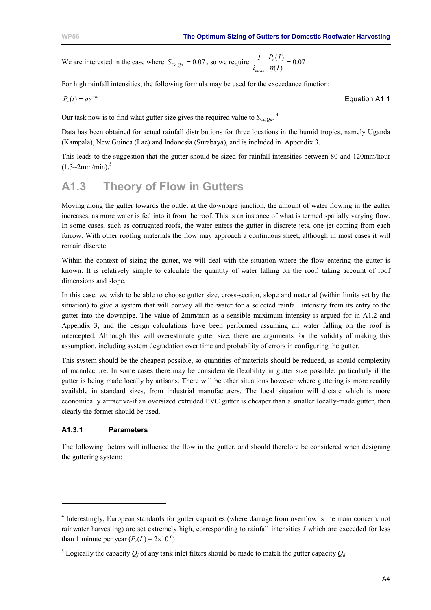<span id="page-25-0"></span>We are interested in the case where  $S_{Cc, Qd} = 0.07$ , so we require  $\frac{I}{i_{mean}} \frac{P_r(I)}{\eta(I)} = 0.07$ *i I <sup>r</sup> mean* η

For high rainfall intensities, the following formula may be used for the exceedance function:

$$
P_r(i) = ae^{-bi}
$$
 **Equation A1.1**

Our task now is to find what gutter size gives the required value to  $S_{Cc,Od}$ .<sup>4</sup>

Data has been obtained for actual rainfall distributions for three locations in the humid tropics, namely Uganda (Kampala), New Guinea (Lae) and Indonesia (Surabaya), and is included in [Appendix 3.](#page-34-0)

This leads to the suggestion that the gutter should be sized for rainfall intensities between 80 and 120mm/hour  $(1.3 \sim 2$ mm/min).<sup>5</sup>

# **A1.3 Theory of Flow in Gutters**

Moving along the gutter towards the outlet at the downpipe junction, the amount of water flowing in the gutter increases, as more water is fed into it from the roof. This is an instance of what is termed spatially varying flow. In some cases, such as corrugated roofs, the water enters the gutter in discrete jets, one jet coming from each furrow. With other roofing materials the flow may approach a continuous sheet, although in most cases it will remain discrete.

Within the context of sizing the gutter, we will deal with the situation where the flow entering the gutter is known. It is relatively simple to calculate the quantity of water falling on the roof, taking account of roof dimensions and slope.

In this case, we wish to be able to choose gutter size, cross-section, slope and material (within limits set by the situation) to give a system that will convey all the water for a selected rainfall intensity from its entry to the gutter into the downpipe. The value of 2mm/min as a sensible maximum intensity is argued for in [A1.2](#page-23-0) and [Appendix 3,](#page-34-0) and the design calculations have been performed assuming all water falling on the roof is intercepted. Although this will overestimate gutter size, there are arguments for the validity of making this assumption, including system degradation over time and probability of errors in configuring the gutter.

This system should be the cheapest possible, so quantities of materials should be reduced, as should complexity of manufacture. In some cases there may be considerable flexibility in gutter size possible, particularly if the gutter is being made locally by artisans. There will be other situations however where guttering is more readily available in standard sizes, from industrial manufacturers. The local situation will dictate which is more economically attractive-if an oversized extruded PVC gutter is cheaper than a smaller locally-made gutter, then clearly the former should be used.

#### **A1.3.1 Parameters**

l

The following factors will influence the flow in the gutter, and should therefore be considered when designing the guttering system:

<sup>&</sup>lt;sup>4</sup> Interestingly, European standards for gutter capacities (where damage from overflow is the main concern, not rainwater harvesting) are set extremely high, corresponding to rainfall intensities *I* which are exceeded for less than 1 minute per year  $(P_r(I) = 2 \times 10^{-6})$ 

<sup>&</sup>lt;sup>5</sup> Logically the capacity  $Q_f$  of any tank inlet filters should be made to match the gutter capacity  $Q_d$ .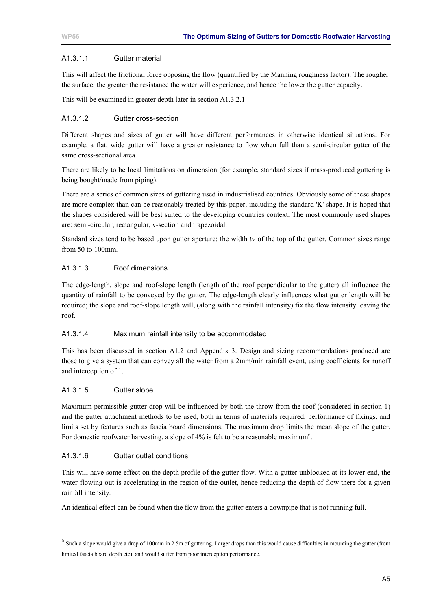#### A1.3.1.1 Gutter material

This will affect the frictional force opposing the flow (quantified by the Manning roughness factor). The rougher the surface, the greater the resistance the water will experience, and hence the lower the gutter capacity.

This will be examined in greater depth later in section [A1.3.2.1.](#page-28-0)

#### A1.3.1.2 Gutter cross-section

Different shapes and sizes of gutter will have different performances in otherwise identical situations. For example, a flat, wide gutter will have a greater resistance to flow when full than a semi-circular gutter of the same cross-sectional area.

There are likely to be local limitations on dimension (for example, standard sizes if mass-produced guttering is being bought/made from piping).

There are a series of common sizes of guttering used in industrialised countries. Obviously some of these shapes are more complex than can be reasonably treated by this paper, including the standard 'K' shape. It is hoped that the shapes considered will be best suited to the developing countries context. The most commonly used shapes are: semi-circular, rectangular, v-section and trapezoidal.

Standard sizes tend to be based upon gutter aperture: the width *w* of the top of the gutter. Common sizes range from 50 to 100mm.

#### A1.3.1.3 Roof dimensions

The edge-length, slope and roof-slope length (length of the roof perpendicular to the gutter) all influence the quantity of rainfall to be conveyed by the gutter. The edge-length clearly influences what gutter length will be required; the slope and roof-slope length will, (along with the rainfall intensity) fix the flow intensity leaving the roof.

#### A1.3.1.4 Maximum rainfall intensity to be accommodated

This has been discussed in section [A1.2](#page-23-0) and [Appendix 3.](#page-34-0) Design and sizing recommendations produced are those to give a system that can convey all the water from a 2mm/min rainfall event, using coefficients for runoff and interception of 1.

#### A1.3.1.5 Gutter slope

l

Maximum permissible gutter drop will be influenced by both the throw from the roof (considered in section [1\)](#page-10-0) and the gutter attachment methods to be used, both in terms of materials required, performance of fixings, and limits set by features such as fascia board dimensions. The maximum drop limits the mean slope of the gutter. For domestic roofwater harvesting, a slope of  $4\%$  is felt to be a reasonable maximum<sup>6</sup>.

#### A1.3.1.6 Gutter outlet conditions

This will have some effect on the depth profile of the gutter flow. With a gutter unblocked at its lower end, the water flowing out is accelerating in the region of the outlet, hence reducing the depth of flow there for a given rainfall intensity.

An identical effect can be found when the flow from the gutter enters a downpipe that is not running full.

 $<sup>6</sup>$  Such a slope would give a drop of 100mm in 2.5m of guttering. Larger drops than this would cause difficulties in mounting the gutter (from</sup> limited fascia board depth etc), and would suffer from poor interception performance.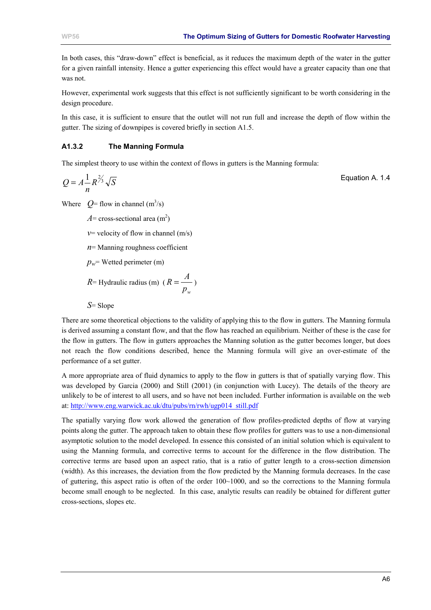In both cases, this "draw-down" effect is beneficial, as it reduces the maximum depth of the water in the gutter for a given rainfall intensity. Hence a gutter experiencing this effect would have a greater capacity than one that was not.

However, experimental work suggests that this effect is not sufficiently significant to be worth considering in the design procedure.

In this case, it is sufficient to ensure that the outlet will not run full and increase the depth of flow within the gutter. The sizing of downpipes is covered briefly in section [A1.5.](#page-29-0)

#### **A1.3.2 The Manning Formula**

The simplest theory to use within the context of flows in gutters is the Manning formula:

$$
Q = A \frac{1}{n} R^{2/3} \sqrt{S}
$$
 Equation A. 1.4

Where  $Q =$  flow in channel  $(m^3/s)$ 

 $A$ = cross-sectional area (m<sup>2</sup>)

 $v$ = velocity of flow in channel (m/s)

 $n=$  Manning roughness coefficient

 $p_w$ = Wetted perimeter (m)

*R*= Hydraulic radius (m) ( *w p*  $R = \frac{A}{A}$ 

*S*= Slope

There are some theoretical objections to the validity of applying this to the flow in gutters. The Manning formula is derived assuming a constant flow, and that the flow has reached an equilibrium. Neither of these is the case for the flow in gutters. The flow in gutters approaches the Manning solution as the gutter becomes longer, but does not reach the flow conditions described, hence the Manning formula will give an over-estimate of the performance of a set gutter.

A more appropriate area of fluid dynamics to apply to the flow in gutters is that of spatially varying flow. This was developed by Garcia (2000) and Still (2001) (in conjunction with Lucey). The details of the theory are unlikely to be of interest to all users, and so have not been included. Further information is available on the web at: [http://www.eng.warwick.ac.uk/dtu/pubs/rn/rwh/ugp014\\_still.pdf](http://www.eng.warwick.ac.uk/dtu/pubs/rn/rwh/ugp014_still.pdf) 

The spatially varying flow work allowed the generation of flow profiles-predicted depths of flow at varying points along the gutter. The approach taken to obtain these flow profiles for gutters was to use a non-dimensional asymptotic solution to the model developed. In essence this consisted of an initial solution which is equivalent to using the Manning formula, and corrective terms to account for the difference in the flow distribution. The corrective terms are based upon an aspect ratio, that is a ratio of gutter length to a cross-section dimension (width). As this increases, the deviation from the flow predicted by the Manning formula decreases. In the case of guttering, this aspect ratio is often of the order  $100~1000$ , and so the corrections to the Manning formula become small enough to be neglected. In this case, analytic results can readily be obtained for different gutter cross-sections, slopes etc.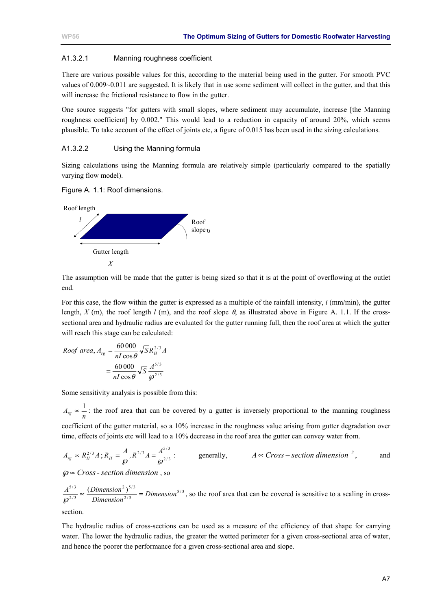#### <span id="page-28-0"></span>A1.3.2.1 Manning roughness coefficient

There are various possible values for this, according to the material being used in the gutter. For smooth PVC values of 0.009~0.011 are suggested. It is likely that in use some sediment will collect in the gutter, and that this will increase the frictional resistance to flow in the gutter.

One source suggests "for gutters with small slopes, where sediment may accumulate, increase [the Manning roughness coefficient] by 0.002." This would lead to a reduction in capacity of around 20%, which seems plausible. To take account of the effect of joints etc, a figure of 0.015 has been used in the sizing calculations.

#### A1.3.2.2 Using the Manning formula

Sizing calculations using the Manning formula are relatively simple (particularly compared to the spatially varying flow model).

Figure A. 1.1: Roof dimensions.



The assumption will be made that the gutter is being sized so that it is at the point of overflowing at the outlet end.

For this case, the flow within the gutter is expressed as a multiple of the rainfall intensity, *i* (mm/min), the gutter length,  $X$  (m), the roof length  $l$  (m), and the roof slope  $\theta$ , as illustrated above in Figure A. 1.1. If the crosssectional area and hydraulic radius are evaluated for the gutter running full, then the roof area at which the gutter will reach this stage can be calculated:

*Root area*, 
$$
A_{rg} = \frac{60\,000}{nI\cos\theta} \sqrt{S} R_H^{2/3} A
$$
  
=  $\frac{60\,000}{nI\cos\theta} \sqrt{S} \frac{A^{5/3}}{\omega^{2/3}}$ 

Some sensitivity analysis is possible from this:

 $A_{rg}$  ∞  $\frac{1}{n}$ : the roof area that can be covered by a gutter is inversely proportional to the manning roughness

coefficient of the gutter material, so a 10% increase in the roughness value arising from gutter degradation over time, effects of joints etc will lead to a 10% decrease in the roof area the gutter can convey water from.

$$
A_{rg} \propto R_H^{2/3} A; R_H = \frac{A}{\wp}, R^{2/3} A = \frac{A^{5/3}}{\wp^{2/3}};
$$
 generally,  $A \propto Cross - section\,2$ , and

$$
\wp \propto Cross
$$
 - section dimension, so

8 / 3 2 / 3  $2^{3}$  $\frac{5/3}{2/3} \propto \frac{(Dimension^2)^{5/3}}{Dimension^{2/3}} = Dimension$  $\frac{A^{5/3}}{\sqrt{\theta^{2/3}}} \propto \frac{(Dimension^2)^{5/3}}{Dimension^{2/3}} = Dimension^{8/3}$ , so the roof area that can be covered is sensitive to a scaling in cross-

section.

The hydraulic radius of cross-sections can be used as a measure of the efficiency of that shape for carrying water. The lower the hydraulic radius, the greater the wetted perimeter for a given cross-sectional area of water, and hence the poorer the performance for a given cross-sectional area and slope.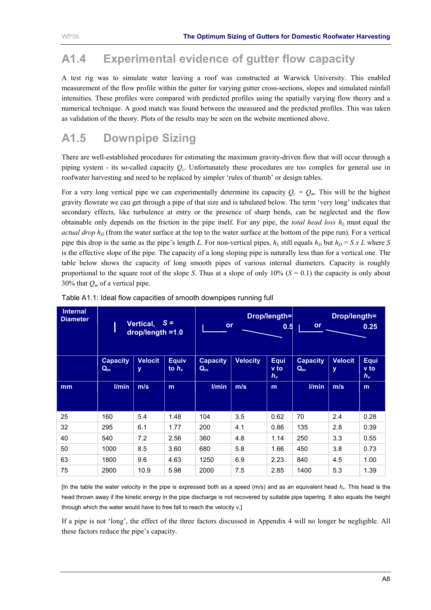# <span id="page-29-0"></span>**A1.4 Experimental evidence of gutter flow capacity**

A test rig was to simulate water leaving a roof was constructed at Warwick University. This enabled measurement of the flow profile within the gutter for varying gutter cross-sections, slopes and simulated rainfall intensities. These profiles were compared with predicted profiles using the spatially varying flow theory and a numerical technique. A good match was found between the measured and the predicted profiles. This was taken as validation of the theory. Plots of the results may be seen on the website mentioned above.

# **A1.5 Downpipe Sizing**

There are well-established procedures for estimating the maximum gravity-driven flow that will occur through a piping system - its so-called capacity *Qc*. Unfortunately these procedures are too complex for general use in roofwater harvesting and need to be replaced by simpler 'rules of thumb' or design tables.

For a very long vertical pipe we can experimentally determine its capacity  $Q_c = Q_m$ . This will be the highest gravity flowrate we can get through a pipe of that size and is tabulated below. The term 'very long' indicates that secondary effects, like turbulence at entry or the presence of sharp bends, can be neglected and the flow obtainable only depends on the friction in the pipe itself. For any pipe, the *total head loss*  $h<sub>L</sub>$  must equal the *actual drop*  $h<sub>D</sub>$  (from the water surface at the top to the water surface at the bottom of the pipe run). For a vertical pipe this drop is the same as the pipe's length *L*. For non-vertical pipes,  $h_L$  still equals  $h_D$  but  $h_D = S x L$  where *S* is the effective slope of the pipe. The capacity of a long sloping pipe is naturally less than for a vertical one. The table below shows the capacity of long smooth pipes of various internal diameters. Capacity is roughly proportional to the square root of the slope *S*. Thus at a slope of only  $10\%$  ( $S = 0.1$ ) the capacity is only about 30% that *Qm* of a vertical pipe.

| <b>Internal</b><br><b>Diameter</b> |                          | Vertical,<br>drop/length =1.0 | $S =$                      | Drop/length=<br>or<br>0.5 |                 | Drop/length=<br>or    |                          | 0.25                |                              |
|------------------------------------|--------------------------|-------------------------------|----------------------------|---------------------------|-----------------|-----------------------|--------------------------|---------------------|------------------------------|
|                                    | <b>Capacity</b><br>$Q_m$ | <b>Velocit</b><br>y           | <b>Equiv</b><br>to $h_{v}$ | <b>Capacity</b><br>$Q_m$  | <b>Velocity</b> | Equi<br>v to<br>$h_v$ | <b>Capacity</b><br>$Q_m$ | <b>Velocit</b><br>У | Equi<br><b>v</b> to<br>$h_v$ |
| m <sub>m</sub>                     | l/min                    | m/s                           | m                          | l/min                     | m/s             | m                     | l/min                    | m/s                 | m                            |
| 25                                 | 160                      | 5.4                           | 1.48                       | 104                       | 3.5             | 0.62                  | 70                       | 2.4                 | 0.28                         |
| 32                                 | 295                      | 6.1                           | 1.77                       | 200                       | 4.1             | 0.86                  | 135                      | 2.8                 | 0.39                         |
| 40                                 | 540                      | 7.2                           | 2.56                       | 360                       | 4.8             | 1.14                  | 250                      | 3.3                 | 0.55                         |
| 50                                 | 1000                     | 8.5                           | 3.60                       | 680                       | 5.8             | 1.66                  | 450                      | 3.8                 | 0.73                         |
| 63                                 | 1800                     | 9.6                           | 4.63                       | 1250                      | 6.9             | 2.23                  | 840                      | 4.5                 | 1.00                         |
| 75                                 | 2900                     | 10.9                          | 5.98                       | 2000                      | 7.5             | 2.85                  | 1400                     | 5.3                 | 1.39                         |

| Table A1.1: Ideal flow capacities of smooth downpipes running full |  |  |
|--------------------------------------------------------------------|--|--|
|                                                                    |  |  |

[In the table the water velocity in the pipe is expressed both as a speed (m/s) and as an equivalent head *hv*. This head is the head thrown away if the kinetic energy in the pipe discharge is not recovered by suitable pipe tapering. It also equals the height through which the water would have to free fall to reach the velocity *v*.]

If a pipe is not 'long', the effect of the three factors discussed in [Appendix 4](#page-37-0) will no longer be negligible. All these factors reduce the pipe's capacity.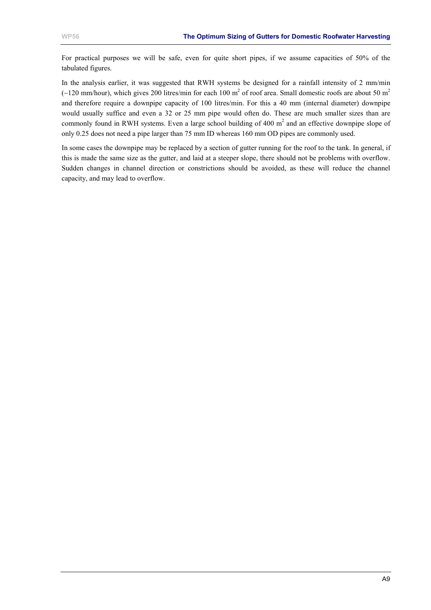For practical purposes we will be safe, even for quite short pipes, if we assume capacities of 50% of the tabulated figures.

In the analysis earlier, it was suggested that RWH systems be designed for a rainfall intensity of 2 mm/min (~120 mm/hour), which gives 200 litres/min for each 100 m<sup>2</sup> of roof area. Small domestic roofs are about 50 m<sup>2</sup> and therefore require a downpipe capacity of 100 litres/min. For this a 40 mm (internal diameter) downpipe would usually suffice and even a 32 or 25 mm pipe would often do. These are much smaller sizes than are commonly found in RWH systems. Even a large school building of 400  $m<sup>2</sup>$  and an effective downpipe slope of only 0.25 does not need a pipe larger than 75 mm ID whereas 160 mm OD pipes are commonly used.

In some cases the downpipe may be replaced by a section of gutter running for the roof to the tank. In general, if this is made the same size as the gutter, and laid at a steeper slope, there should not be problems with overflow. Sudden changes in channel direction or constrictions should be avoided, as these will reduce the channel capacity, and may lead to overflow.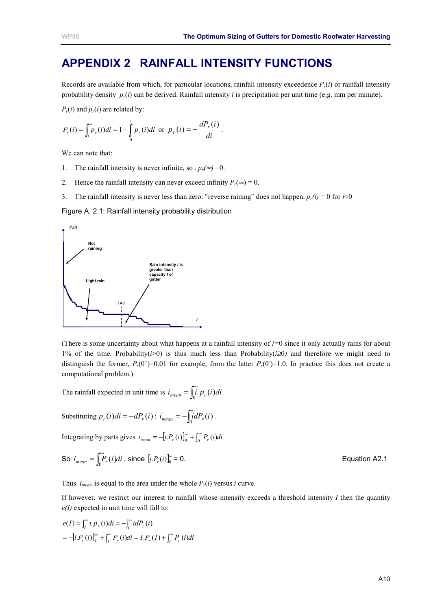# <span id="page-31-0"></span>**APPENDIX 2 RAINFALL INTENSITY FUNCTIONS**

Records are available from which, for particular locations, rainfall intensity exceedence  $P_r(i)$  or rainfall intensity probability density  $p_r(i)$  can be derived. Rainfall intensity *i* is precipitation per unit time (e.g. mm per minute).

 $P_r(i)$  and  $p_r(i)$  are related by:

$$
P_r(i) = \int_i^{\infty} p_r(i)di = 1 - \int_0^i p_r(i)di \text{ or } p_r(i) = -\frac{dP_r(i)}{di}.
$$

We can note that:

- 1. The rainfall intensity is never infinite, so  $p_r(\infty) = 0$ .
- 2. Hence the rainfall intensity can never exceed infinity  $P_r(\infty) = 0$ .
- 3. The rainfall intensity is never less than zero: "reverse raining" does not happen.  $p_r(i) = 0$  for  $i < 0$

Figure A. 2.1: Rainfall intensity probability distribution



(There is some uncertainty about what happens at a rainfall intensity of  $i=0$  since it only actually rains for about 1% of the time. Probability(*i*>0) is thus much less than Probability(*i*≥0*)* and therefore we might need to distinguish the former,  $P_r(0^+)=0.01$  for example, from the latter  $P_r(0^-)=1.0$ . In practice this does not create a computational problem.)

The rainfall expected in unit time is  $i_{mean} = \int_{0}^{\infty} i P_r(i) di$ 

Substituting 
$$
p_r(i)di = -dP_r(i)
$$
:  $i_{mean} = -\int_0^\infty i dP_r(i)$ .

Integrating by parts gives  $i_{mean} = -[i.P_r(i)]_0^{\infty} + \int_0^{\infty} P_r(i)di$ 

So 
$$
i_{mean} = \int_0^\infty P_r(i)di
$$
, since  $[i.P_r(i)]_0^\infty = 0$ .  
Equation A2.1

Thus  $i_{mean}$  is equal to the area under the whole  $P_r(i)$  versus *i* curve.

If however, we restrict our interest to rainfall whose intensity exceeds a threshold intensity *I* then the quantity *e(I)* expected in unit time will fall to:

$$
e(I) = \int_{I}^{\infty} i.P_{r}(i)di = -\int_{I}^{\infty} idP_{r}(i)
$$
  
=  $-\left[i.P_{r}(i)\right]_{I}^{\infty} + \int_{I}^{\infty} P_{r}(i)di = I.P_{r}(I) + \int_{I}^{\infty} P_{r}(i)di$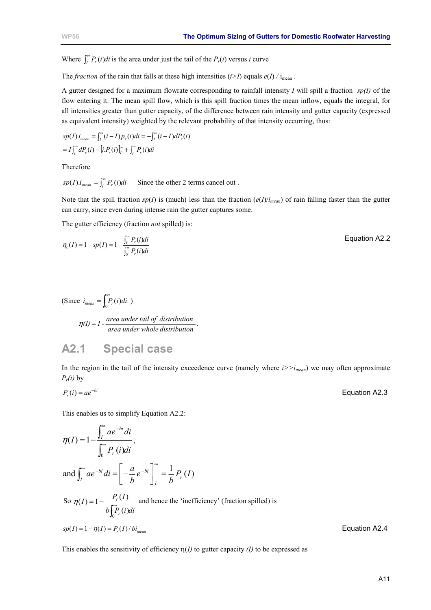<span id="page-32-0"></span>Where  $\int_{I}^{\infty} P_r(i)di$  is the area under just the tail of the  $P_r(i)$  versus *i* curve

The *fraction* of the rain that falls at these high intensities ( $i > I$ ) equals  $e(I) / I_{\text{mean}}$ .

A gutter designed for a maximum flowrate corresponding to rainfall intensity *I* will spill a fraction *sp(I)* of the flow entering it. The mean spill flow, which is this spill fraction times the mean inflow, equals the integral, for all intensities greater than gutter capacity, of the difference between rain intensity and gutter capacity (expressed as equivalent intensity) weighted by the relevant probability of that intensity occurring, thus:

$$
sp(I).i_{mean} = \int_{I}^{\infty} (i - I) p_{r}(i) di = -\int_{I}^{\infty} (i - I) dP_{r}(i)
$$

$$
= I \int_{I}^{\infty} dP_{r}(i) - [i.P_{r}(i)]_{I}^{\infty} + \int_{I}^{\infty} P_{r}(i) di
$$

Therefore

 $sp(I)i_{mean} = \int_{I}^{\infty} P_r(i)di$ Since the other 2 terms cancel out .

Note that the spill fraction  $sp(I)$  is (much) less than the fraction  $(e(I)/i_{mean})$  of rain falling faster than the gutter can carry, since even during intense rain the gutter captures some.

The gutter efficiency (fraction *not* spilled) is:

$$
\eta_c(I) = 1 - sp(I) = 1 - \frac{\int_I^{\infty} P_r(i)di}{\int_0^{\infty} P_r(i)di}
$$
 Equation A2.2

(Since 
$$
i_{mean} = \int_0^{\infty} P_r(i)di
$$
)  

$$
\eta(I) = 1 - \frac{area under tail of distribution}{area under whole distribution}.
$$

# **A2.1 Special case**

In the region in the tail of the intensity exceedence curve (namely where  $i \geq i_{mean}$ ) we may often approximate  $P_r(i)$  by

$$
P_r(i) = ae^{-bi}
$$
 **Equation A2.3**

This enables us to simplify Equation A2.2:

$$
\eta(I) = 1 - \frac{\int_{I}^{\infty} ae^{-bi}di}{\int_{0}^{\infty} P_{r}(i)di},
$$
  
and 
$$
\int_{I}^{\infty} ae^{-bi}di = \left[ -\frac{a}{b}e^{-bi} \right]_{I}^{\infty} = \frac{1}{b} P_{r}(I)
$$
  
So 
$$
\eta(I) = 1 - \frac{P_{r}(I)}{b \int_{0}^{\infty} P_{r}(i)di}
$$
 and hence the 'inefficiency' (fraction spilled) is

This enables the sensitivity of efficiency  $\eta$ (*I*) to gutter capacity *(I)* to be expressed as

 $\pi p(I) = 1 - \eta(I) = P_r(I)/bi_{mean}$  Equation A2.4

A11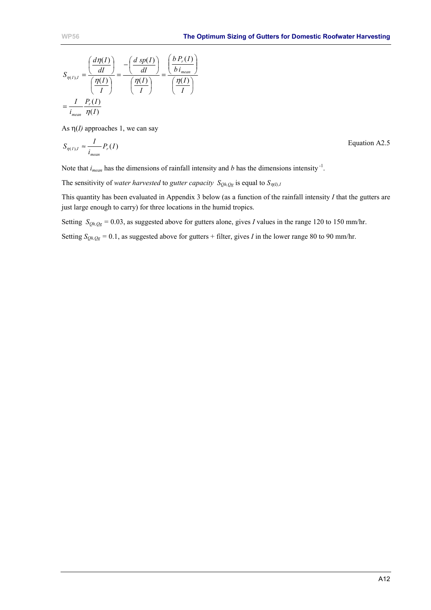$$
S_{\eta(I),I} = \frac{\left(\frac{d\eta(I)}{dI}\right)}{\left(\frac{\eta(I)}{I}\right)} = \frac{-\left(\frac{d\ sp(I)}{dI}\right)}{\left(\frac{\eta(I)}{I}\right)} = \frac{\left(\frac{b\ P_r(I)}{b\ i_{mean}}\right)}{\left(\frac{\eta(I)}{I}\right)}
$$

$$
= \frac{I}{i_{mean}} \frac{P_r(I)}{\eta(I)}
$$

As  $\eta$ (*I*) approaches 1, we can say

$$
S_{\eta(I),I} \approx \frac{I}{i_{mean}} P_r(I)
$$
 Equation A2.5

Note that  $i_{mean}$  has the dimensions of rainfall intensity and *b* has the dimensions intensity<sup>-1</sup>.

The sensitivity of *water harvested* to *gutter capacity*  $S_{Qh,Qg}$  is equal to  $S_{\eta(l),I}$ 

This quantity has been evaluated in [Appendix 3](#page-34-0) below (as a function of the rainfall intensity *I* that the gutters are just large enough to carry) for three locations in the humid tropics.

Setting  $S_{Qh,Qg} = 0.03$ , as suggested above for gutters alone, gives *I* values in the range 120 to 150 mm/hr.

Setting  $S_{Oh, Og} = 0.1$ , as suggested above for gutters + filter, gives *I* in the lower range 80 to 90 mm/hr.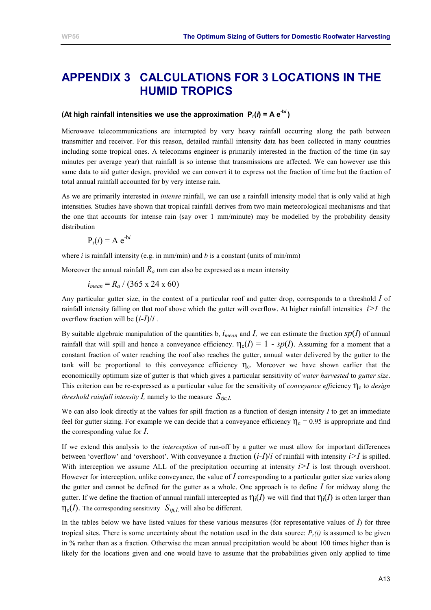# <span id="page-34-0"></span>**APPENDIX 3 CALCULATIONS FOR 3 LOCATIONS IN THE HUMID TROPICS**

### (At high rainfall intensities we use the approximation  $P_r(i) = Ae^{-bi}$ )

Microwave telecommunications are interrupted by very heavy rainfall occurring along the path between transmitter and receiver. For this reason, detailed rainfall intensity data has been collected in many countries including some tropical ones. A telecomms engineer is primarily interested in the fraction of the time (in say minutes per average year) that rainfall is so intense that transmissions are affected. We can however use this same data to aid gutter design, provided we can convert it to express not the fraction of time but the fraction of total annual rainfall accounted for by very intense rain.

As we are primarily interested in *intense* rainfall, we can use a rainfall intensity model that is only valid at high intensities. Studies have shown that tropical rainfall derives from two main meteorological mechanisms and that the one that accounts for intense rain (say over 1 mm/minute) may be modelled by the probability density distribution

$$
P_{r}(i) = A e^{-bi}
$$

where  $i$  is rainfall intensity (e.g. in mm/min) and  $b$  is a constant (units of min/mm)

Moreover the annual rainfall  $R_a$  mm can also be expressed as a mean intensity

$$
i_{mean} = R_a / (365 \times 24 \times 60)
$$

Any particular gutter size, in the context of a particular roof and gutter drop, corresponds to a threshold *I* of rainfall intensity falling on that roof above which the gutter will overflow. At higher rainfall intensities  $i > I$  the overflow fraction will be (*i-I*)/*i* .

By suitable algebraic manipulation of the quantities b,  $i_{mean}$  and  $I$ , we can estimate the fraction  $sp(I)$  of annual rainfall that will spill and hence a conveyance efficiency.  $\eta_c(I) = 1 - sp(I)$ . Assuming for a moment that a constant fraction of water reaching the roof also reaches the gutter, annual water delivered by the gutter to the tank will be proportional to this conveyance efficiency  $\eta_c$ . Moreover we have shown earlier that the economically optimum size of gutter is that which gives a particular sensitivity of *water harvested* to *gutter size*. This criterion can be re-expressed as a particular value for the sensitivity of *conveyance efficiency* η<sub>c</sub> to *design threshold rainfall intensity I,* namely to the measure  $S_{nc,I}$ .

We can also look directly at the values for spill fraction as a function of design intensity *I* to get an immediate feel for gutter sizing. For example we can decide that a conveyance efficiency  $\eta_c = 0.95$  is appropriate and find the corresponding value for *I*.

If we extend this analysis to the *interception* of run-off by a gutter we must allow for important differences between 'overflow' and 'overshoot'. With conveyance a fraction  $(i-1)/i$  of rainfall with intensity  $i>I$  is spilled. With interception we assume ALL of the precipitation occurring at intensity  $i > I$  is lost through overshoot. However for interception, unlike conveyance, the value of *I* corresponding to a particular gutter size varies along the gutter and cannot be defined for the gutter as a whole. One approach is to define *I* for midway along the gutter. If we define the fraction of annual rainfall intercepted as  $\eta_i(I)$  we will find that  $\eta_i(I)$  is often larger than  $\eta_c(I)$ . The corresponding sensitivity  $S_{\eta i,I}$  will also be different.

In the tables below we have listed values for these various measures (for representative values of  $\bar{I}$ ) for three tropical sites. There is some uncertainty about the notation used in the data source:  $P_r(i)$  is assumed to be given in % rather than as a fraction. Otherwise the mean annual precipitation would be about 100 times higher than is likely for the locations given and one would have to assume that the probabilities given only applied to time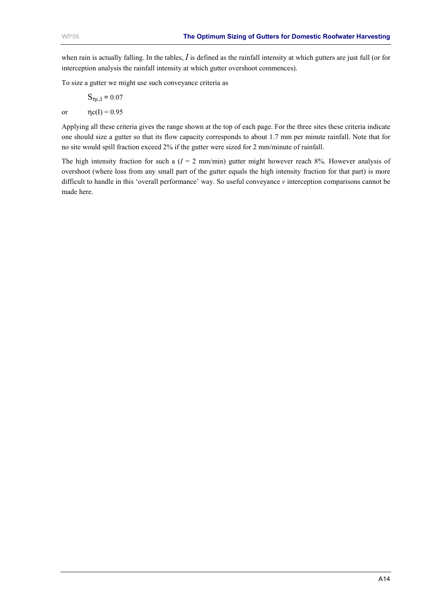when rain is actually falling. In the tables, *I* is defined as the rainfall intensity at which gutters are just full (or for interception analysis the rainfall intensity at which gutter overshoot commences).

To size a gutter we might use such conveyance criteria as

$$
S_{\eta c,I} = 0.07
$$

or  $\eta c(I) = 0.95$ 

Applying all these criteria gives the range shown at the top of each page. For the three sites these criteria indicate one should size a gutter so that its flow capacity corresponds to about 1.7 mm per minute rainfall. Note that for no site would spill fraction exceed 2% if the gutter were sized for 2 mm/minute of rainfall.

The high intensity fraction for such a  $(I = 2 \text{ mm/min})$  gutter might however reach 8%. However analysis of overshoot (where loss from any small part of the gutter equals the high intensity fraction for that part) is more difficult to handle in this 'overall performance' way. So useful conveyance *v* interception comparisons cannot be made here.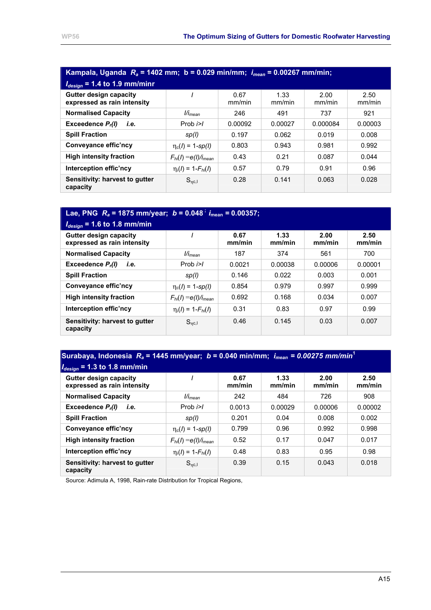| Kampala, Uganda $R_a$ = 1402 mm; b = 0.029 min/mm; $i_{mean}$ = 0.00267 mm/min; |                             |                |                |                |                |  |  |  |  |
|---------------------------------------------------------------------------------|-----------------------------|----------------|----------------|----------------|----------------|--|--|--|--|
| $I_{design}$ = 1.4 to 1.9 mm/minr                                               |                             |                |                |                |                |  |  |  |  |
| <b>Gutter design capacity</b><br>expressed as rain intensity                    |                             | 0.67<br>mm/min | 1.33<br>mm/min | 2.00<br>mm/min | 2.50<br>mm/min |  |  |  |  |
| <b>Normalised Capacity</b>                                                      | l/i <sub>mean</sub>         | 246            | 491            | 737            | 921            |  |  |  |  |
| Exceedence $P_r(l)$<br>i.e.                                                     | Prob $i>l$                  | 0.00092        | 0.00027        | 0.000084       | 0.00003        |  |  |  |  |
| <b>Spill Fraction</b>                                                           | sp(l)                       | 0.197          | 0.062          | 0.019          | 0.008          |  |  |  |  |
| Conveyance effic'ncy                                                            | $\eta_c(I) = 1$ -sp(l)      | 0.803          | 0.943          | 0.981          | 0.992          |  |  |  |  |
| <b>High intensity fraction</b>                                                  | $F_{hi}(I) = e(I)/i_{mean}$ | 0.43           | 0.21           | 0.087          | 0.044          |  |  |  |  |
| Interception effic'ncy                                                          | $\eta_i(I) = 1 - F_{hi}(I)$ | 0.57           | 0.79           | 0.91           | 0.96           |  |  |  |  |
| Sensitivity: harvest to gutter<br>capacity                                      | $S_{\eta c, I}$             | 0.28           | 0.141          | 0.063          | 0.028          |  |  |  |  |

# **Lae, PNG**  $R_a = 1875$  mm/year;  $b = 0.048$ <sup>;</sup>  $i_{\text{mean}} = 0.00357$ ;

| $I_{design}$ = 1.6 to 1.8 mm/min                             |                             |                |                |                |                |
|--------------------------------------------------------------|-----------------------------|----------------|----------------|----------------|----------------|
| <b>Gutter design capacity</b><br>expressed as rain intensity |                             | 0.67<br>mm/min | 1.33<br>mm/min | 2.00<br>mm/min | 2.50<br>mm/min |
| <b>Normalised Capacity</b>                                   | l/İ <sub>mean</sub>         | 187            | 374            | 561            | 700            |
| Exceedence $P_r(l)$<br>i.e.                                  | Prob $i>l$                  | 0.0021         | 0.00038        | 0.00006        | 0.00001        |
| <b>Spill Fraction</b>                                        | sp(l)                       | 0.146          | 0.022          | 0.003          | 0.001          |
| Conveyance effic'ncy                                         | $\eta_c(I) = 1 - sp(I)$     | 0.854          | 0.979          | 0.997          | 0.999          |
| <b>High intensity fraction</b>                               | $F_{hi}(I) = e(I)/i_{mean}$ | 0.692          | 0.168          | 0.034          | 0.007          |
| Interception effic'ncy                                       | $\eta_i(I) = 1 - F_{hi}(I)$ | 0.31           | 0.83           | 0.97           | 0.99           |
| Sensitivity: harvest to gutter<br>capacity                   | $S_{nc,1}$                  | 0.46           | 0.145          | 0.03           | 0.007          |

### **Surabaya, Indonesia** *Ra* **= 1445 mm/year;** *b* **= 0.040 min/mm;** *imean = 0.00275 mm/min***<sup>1</sup>**  $I_{\text{eff}} = 1.3 \text{ to } 1.8 \text{ mm/min}$

| $T$ design $T \sim 0$ to the minimum                         |                             |                |                |                |                |
|--------------------------------------------------------------|-----------------------------|----------------|----------------|----------------|----------------|
| <b>Gutter design capacity</b><br>expressed as rain intensity |                             | 0.67<br>mm/min | 1.33<br>mm/min | 2.00<br>mm/min | 2.50<br>mm/min |
| <b>Normalised Capacity</b>                                   | l/i <sub>mean</sub>         | 242            | 484            | 726            | 908            |
| Exceedence $P_r(l)$<br>i.e.                                  | Prob $i>l$                  | 0.0013         | 0.00029        | 0.00006        | 0.00002        |
| <b>Spill Fraction</b>                                        | sp(l)                       | 0.201          | 0.04           | 0.008          | 0.002          |
| Conveyance effic'ncy                                         | $\eta_c(I) = 1$ -sp(l)      | 0.799          | 0.96           | 0.992          | 0.998          |
| <b>High intensity fraction</b>                               | $F_{hi}(I) = e(I)/i_{mean}$ | 0.52           | 0.17           | 0.047          | 0.017          |
| Interception effic'ncy                                       | $\eta_i(I) = 1 - F_{hi}(I)$ | 0.48           | 0.83           | 0.95           | 0.98           |
| Sensitivity: harvest to gutter<br>capacity                   | $S_{nc,1}$                  | 0.39           | 0.15           | 0.043          | 0.018          |

Source: Adimula A, 1998, Rain-rate Distribution for Tropical Regions,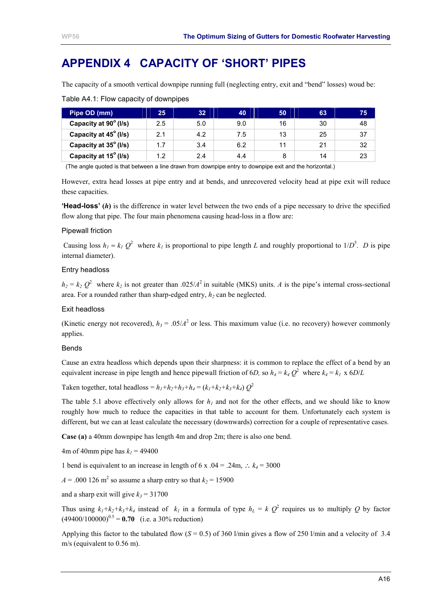# <span id="page-37-0"></span>**APPENDIX 4 CAPACITY OF 'SHORT' PIPES**

The capacity of a smooth vertical downpipe running full (neglecting entry, exit and "bend" losses) woud be:

| Pipe OD (mm)          | 25  | 32  | 40  | 50 | 63             | 75 |
|-----------------------|-----|-----|-----|----|----------------|----|
| Capacity at 90° (I/s) | 2.5 | 5.0 | 9.0 | 16 | 30             | 48 |
| Capacity at 45° (I/s) | 2.1 | 4.2 | 7.5 | 13 | 25             | 37 |
| Capacity at 35° (I/s) | 1.7 | 3.4 | 6.2 |    | 2 <sub>1</sub> | 32 |
| Capacity at 15° (I/s) | 1.2 | 2.4 | 4.4 |    | 14             | 23 |

Table A4.1: Flow capacity of downpipes

(The angle quoted is that between a line drawn from downpipe entry to downpipe exit and the horizontal.)

However, extra head losses at pipe entry and at bends, and unrecovered velocity head at pipe exit will reduce these capacities.

**'Head-loss' (***h***)** is the difference in water level between the two ends of a pipe necessary to drive the specified flow along that pipe. The four main phenomena causing head-loss in a flow are:

#### Pipewall friction

Causing loss  $h_1 \approx k_1 Q^2$  where  $k_1$  is proportional to pipe length *L* and roughly proportional to  $1/D^5$ . *D* is pipe internal diameter).

#### Entry headloss

 $h_2 = k_2 Q^2$  where  $k_2$  is not greater than .025/*A*<sup>2</sup> in suitable (MKS) units. *A* is the pipe's internal cross-sectional area. For a rounded rather than sharp-edged entry,  $h_2$  can be neglected.

#### Exit headloss

(Kinetic energy not recovered),  $h_3 = .05/A^2$  or less. This maximum value (i.e. no recovery) however commonly applies.

#### Bends

Cause an extra headloss which depends upon their sharpness: it is common to replace the effect of a bend by an equivalent increase in pipe length and hence pipewall friction of 6*D*, so  $h_4 = k_4 Q^2$  where  $k_4 = k_1 \times 6D/L$ 

Taken together, total headloss =  $h_1 + h_2 + h_3 + h_4 = (k_1 + k_2 + k_3 + k_4)$   $Q^2$ 

The table 5.1 above effectively only allows for  $h<sub>l</sub>$  and not for the other effects, and we should like to know roughly how much to reduce the capacities in that table to account for them. Unfortunately each system is different, but we can at least calculate the necessary (downwards) correction for a couple of representative cases.

**Case (a)** a 40mm downpipe has length 4m and drop 2m; there is also one bend.

4m of 40mm pipe has  $k_1$  = 49400

1 bend is equivalent to an increase in length of 6 x  $.04 = .24$ m, ∴  $k_4 = 3000$ 

 $A = 0.000126$  m<sup>2</sup> so assume a sharp entry so that  $k_2 = 15900$ 

and a sharp exit will give  $k_3 = 31700$ 

Thus using  $k_1 + k_2 + k_3 + k_4$  instead of  $k_1$  in a formula of type  $h_L = k Q^2$  requires us to multiply Q by factor  $(49400/100000)^{0.5} = 0.70$  (i.e. a 30% reduction)

Applying this factor to the tabulated flow  $(S = 0.5)$  of 360 l/min gives a flow of 250 l/min and a velocity of 3.4 m/s (equivalent to 0.56 m).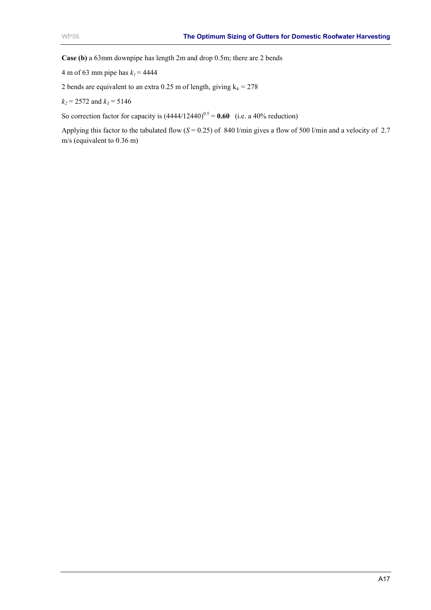**Case (b)** a 63mm downpipe has length 2m and drop 0.5m; there are 2 bends

4 m of 63 mm pipe has  $k_1$  = 4444

2 bends are equivalent to an extra 0.25 m of length, giving  $k_4 = 278$ 

 $k_2$  = 2572 and  $k_3$  = 5146

So correction factor for capacity is  $(4444/12440)^{0.5} = 0.60$  (i.e. a 40% reduction)

Applying this factor to the tabulated flow (*S* = 0.25) of 840 l/min gives a flow of 500 l/min and a velocity of 2.7 m/s (equivalent to 0.36 m)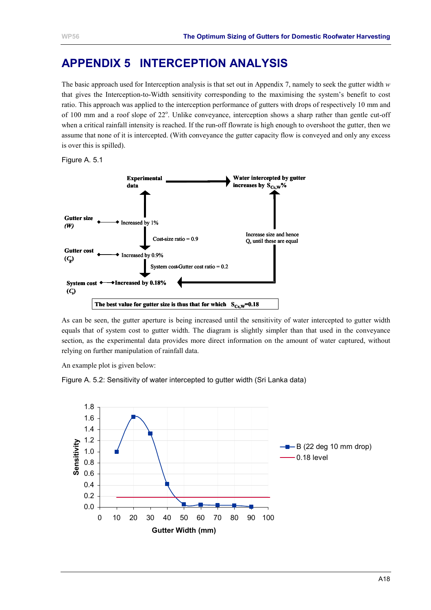# <span id="page-39-0"></span>**APPENDIX 5 INTERCEPTION ANALYSIS**

The basic approach used for Interception analysis is that set out in [Appendix 7,](#page-42-0) namely to seek the gutter width *w* that gives the Interception-to-Width sensitivity corresponding to the maximising the system's benefit to cost ratio. This approach was applied to the interception performance of gutters with drops of respectively 10 mm and of 100 mm and a roof slope of 22°. Unlike conveyance, interception shows a sharp rather than gentle cut-off when a critical rainfall intensity is reached. If the run-off flowrate is high enough to overshoot the gutter, then we assume that none of it is intercepted. (With conveyance the gutter capacity flow is conveyed and only any excess is over this is spilled).

Figure A. 5.1



As can be seen, the gutter aperture is being increased until the sensitivity of water intercepted to gutter width equals that of system cost to gutter width. The diagram is slightly simpler than that used in the conveyance section, as the experimental data provides more direct information on the amount of water captured, without relying on further manipulation of rainfall data.

An example plot is given below:

Figure A. 5.2: Sensitivity of water intercepted to gutter width (Sri Lanka data)

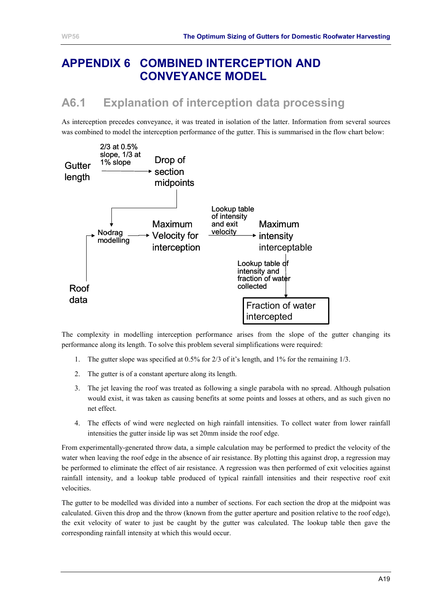# <span id="page-40-0"></span>**APPENDIX 6 COMBINED INTERCEPTION AND CONVEYANCE MODEL**

# **A6.1 Explanation of interception data processing**

As interception precedes conveyance, it was treated in isolation of the latter. Information from several sources was combined to model the interception performance of the gutter. This is summarised in the flow chart below:



The complexity in modelling interception performance arises from the slope of the gutter changing its performance along its length. To solve this problem several simplifications were required:

- 1. The gutter slope was specified at 0.5% for 2/3 of it's length, and 1% for the remaining 1/3.
- 2. The gutter is of a constant aperture along its length.
- 3. The jet leaving the roof was treated as following a single parabola with no spread. Although pulsation would exist, it was taken as causing benefits at some points and losses at others, and as such given no net effect.
- 4. The effects of wind were neglected on high rainfall intensities. To collect water from lower rainfall intensities the gutter inside lip was set 20mm inside the roof edge.

From experimentally-generated throw data, a simple calculation may be performed to predict the velocity of the water when leaving the roof edge in the absence of air resistance. By plotting this against drop, a regression may be performed to eliminate the effect of air resistance. A regression was then performed of exit velocities against rainfall intensity, and a lookup table produced of typical rainfall intensities and their respective roof exit velocities.

The gutter to be modelled was divided into a number of sections. For each section the drop at the midpoint was calculated. Given this drop and the throw (known from the gutter aperture and position relative to the roof edge), the exit velocity of water to just be caught by the gutter was calculated. The lookup table then gave the corresponding rainfall intensity at which this would occur.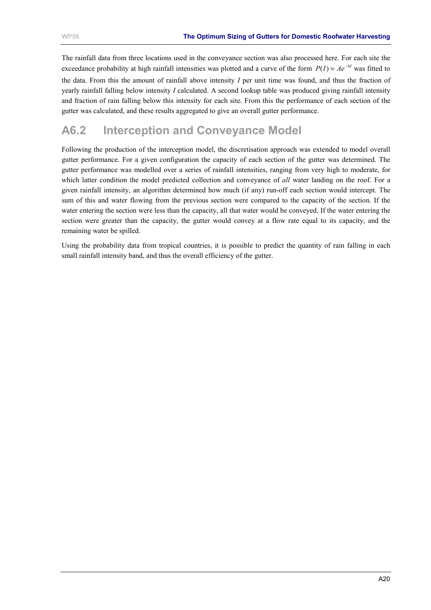<span id="page-41-0"></span>The rainfall data from three locations used in the conveyance section was also processed here. For each site the exceedance probability at high rainfall intensities was plotted and a curve of the form  $P(I) = Ae^{-bt}$  was fitted to

the data. From this the amount of rainfall above intensity *I* per unit time was found, and thus the fraction of yearly rainfall falling below intensity *I* calculated. A second lookup table was produced giving rainfall intensity and fraction of rain falling below this intensity for each site. From this the performance of each section of the gutter was calculated, and these results aggregated to give an overall gutter performance.

### **A6.2 Interception and Conveyance Model**

Following the production of the interception model, the discretisation approach was extended to model overall gutter performance. For a given configuration the capacity of each section of the gutter was determined. The gutter performance was modelled over a series of rainfall intensities, ranging from very high to moderate, for which latter condition the model predicted collection and conveyance of *all* water landing on the roof. For a given rainfall intensity, an algorithm determined how much (if any) run-off each section would intercept. The sum of this and water flowing from the previous section were compared to the capacity of the section. If the water entering the section were less than the capacity, all that water would be conveyed. If the water entering the section were greater than the capacity, the gutter would convey at a flow rate equal to its capacity, and the remaining water be spilled.

Using the probability data from tropical countries, it is possible to predict the quantity of rain falling in each small rainfall intensity band, and thus the overall efficiency of the gutter.